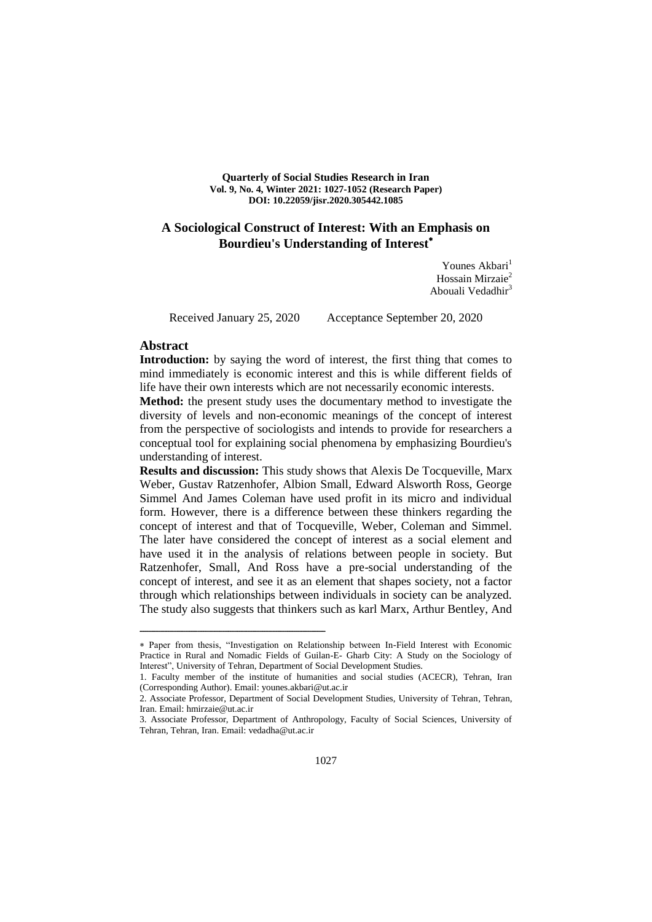**Quarterly of Social Studies Research in Iran Vol. 9, No. 4, Winter 2021: 1027-1052 (Research Paper) DOI: 10.22059/jisr.2020.305442.1085**

# **A Sociological Construct of Interest: With an Emphasis on Bourdieu's Understanding of Interest**

Younes Akbari<sup>1</sup> Hossain Mirzaie<sup>2</sup> Abouali Vedadhir<sup>3</sup>

ــــــــــــــــــــــــــــــــــــــــــــــــــــــــــــــــــــــــــــــــــــــــــــــــــــــــــــــــــــــــــــــــــــــــــــــــ

Received January 25, 2020 Acceptance September 20, 2020

## **Abstract**

Introduction: by saying the word of interest, the first thing that comes to mind immediately is economic interest and this is while different fields of life have their own interests which are not necessarily economic interests.

**Method:** the present study uses the documentary method to investigate the diversity of levels and non-economic meanings of the concept of interest from the perspective of sociologists and intends to provide for researchers a conceptual tool for explaining social phenomena by emphasizing Bourdieu's understanding of interest.

**Results and discussion:** This study shows that Alexis De Tocqueville, Marx Weber, Gustav Ratzenhofer, Albion Small, Edward Alsworth Ross, George Simmel And James Coleman have used profit in its micro and individual form. However, there is a difference between these thinkers regarding the concept of interest and that of Tocqueville, Weber, Coleman and Simmel. The later have considered the concept of interest as a social element and have used it in the analysis of relations between people in society. But Ratzenhofer, Small, And Ross have a pre-social understanding of the concept of interest, and see it as an element that shapes society, not a factor through which relationships between individuals in society can be analyzed. The study also suggests that thinkers such as karl Marx, Arthur Bentley, And

Paper from thesis, "Investigation on Relationship between In-Field Interest with Economic Practice in Rural and Nomadic Fields of Guilan-E- Gharb City: A Study on the Sociology of Interest", University of Tehran, Department of Social Development Studies.

<sup>1.</sup> Faculty member of the institute of humanities and social studies (ACECR), Tehran, Iran (Corresponding Author). Email: younes.akbari@ut.ac.ir

<sup>2.</sup> Associate Professor, Department of Social Development Studies, University of Tehran, Tehran, Iran. Email: hmirzaie@ut.ac.ir

<sup>3.</sup> Associate Professor, Department of Anthropology, Faculty of Social Sciences, University of Tehran, Tehran, Iran. Email: vedadha@ut.ac.ir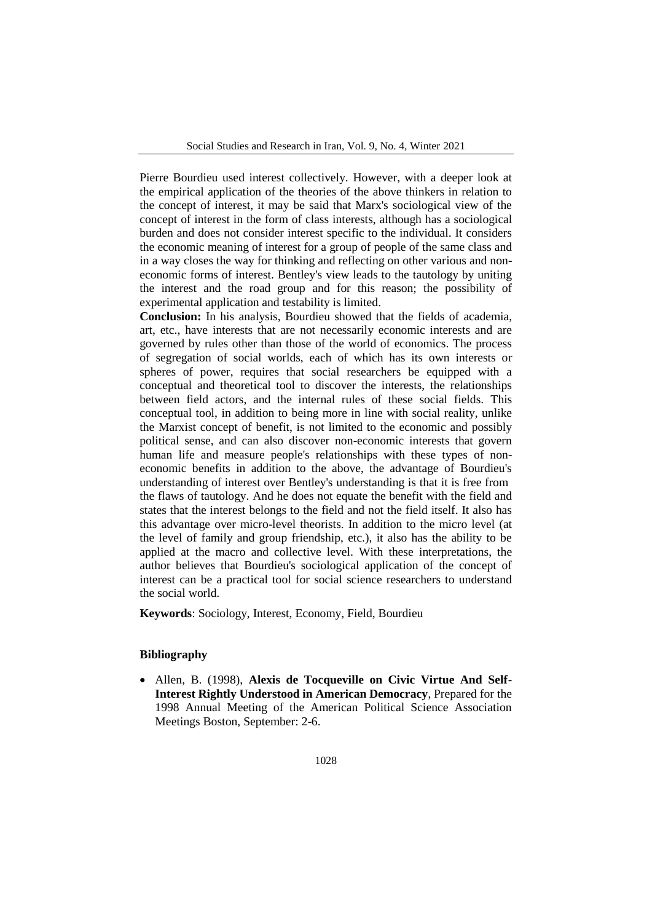Pierre Bourdieu used interest collectively. However, with a deeper look at the empirical application of the theories of the above thinkers in relation to the concept of interest, it may be said that Marx's sociological view of the concept of interest in the form of class interests, although has a sociological burden and does not consider interest specific to the individual. It considers the economic meaning of interest for a group of people of the same class and in a way closes the way for thinking and reflecting on other various and noneconomic forms of interest. Bentley's view leads to the tautology by uniting the interest and the road group and for this reason; the possibility of experimental application and testability is limited.

**Conclusion:** In his analysis, Bourdieu showed that the fields of academia, art, etc., have interests that are not necessarily economic interests and are governed by rules other than those of the world of economics. The process of segregation of social worlds, each of which has its own interests or spheres of power, requires that social researchers be equipped with a conceptual and theoretical tool to discover the interests, the relationships between field actors, and the internal rules of these social fields. This conceptual tool, in addition to being more in line with social reality, unlike the Marxist concept of benefit, is not limited to the economic and possibly political sense, and can also discover non-economic interests that govern human life and measure people's relationships with these types of noneconomic benefits in addition to the above, the advantage of Bourdieu's understanding of interest over Bentley's understanding is that it is free from the flaws of tautology. And he does not equate the benefit with the field and states that the interest belongs to the field and not the field itself. It also has this advantage over micro-level theorists. In addition to the micro level (at the level of family and group friendship, etc.), it also has the ability to be applied at the macro and collective level. With these interpretations, the author believes that Bourdieu's sociological application of the concept of interest can be a practical tool for social science researchers to understand the social world.

**Keywords**: Sociology, Interest, Economy, Field, Bourdieu

### **Bibliography**

 Allen, B. (1998), **Alexis de Tocqueville on Civic Virtue And Self-Interest Rightly Understood in American Democracy**, Prepared for the 1998 Annual Meeting of the American Political Science Association Meetings Boston, September: 2-6.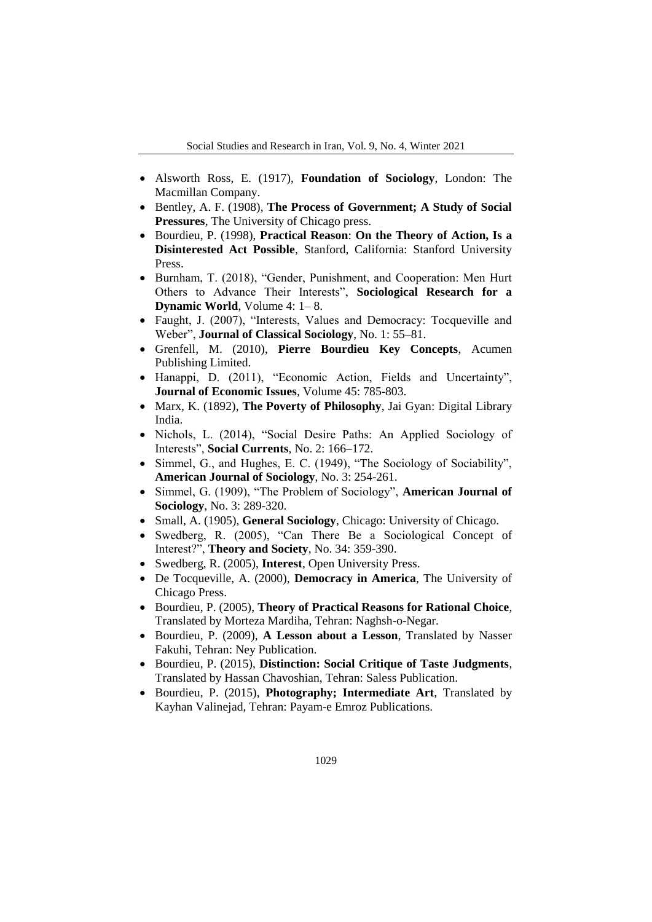- Alsworth Ross, E. (1917), **Foundation of Sociology**, London: The Macmillan Company.
- Bentley, A. F. (1908), **The Process of Government; A Study of Social Pressures**, The University of Chicago press.
- Bourdieu, P. (1998), **Practical Reason**: **On the Theory of Action, Is a Disinterested Act Possible**, Stanford, California: Stanford University Press.
- Burnham, T. (2018), "Gender, Punishment, and Cooperation: Men Hurt Others to Advance Their Interests", **Sociological Research for a Dynamic World**, Volume 4: 1– 8.
- Faught, J. (2007), "Interests, Values and Democracy: Tocqueville and Weber", **Journal of Classical Sociology**, No. 1: 55–81.
- Grenfell, M. (2010), **Pierre Bourdieu Key Concepts**, Acumen Publishing Limited.
- Hanappi, D. (2011), "Economic Action, Fields and Uncertainty", **Journal of Economic Issues**, Volume 45: 785-803.
- Marx, K. (1892), **The Poverty of Philosophy**, Jai Gyan: Digital Library India.
- Nichols, L. (2014), "Social Desire Paths: An Applied Sociology of Interests", **Social Currents**, No. 2: 166–172.
- Simmel, G., and Hughes, E. C. (1949), "The Sociology of Sociability", **American Journal of Sociology**, No. 3: 254-261.
- Simmel, G. (1909), "The Problem of Sociology", **American Journal of Sociology**, No. 3: 289-320.
- Small, A. (1905), **General Sociology**, Chicago: University of Chicago.
- Swedberg, R. (2005), "Can There Be a Sociological Concept of Interest?", **Theory and Society**, No. 34: 359-390.
- Swedberg, R. (2005), **Interest**, Open University Press.
- De Tocqueville, A. (2000), **Democracy in America**, The University of Chicago Press.
- Bourdieu, P. (2005), **Theory of Practical Reasons for Rational Choice**, Translated by Morteza Mardiha, Tehran: Naghsh-o-Negar.
- Bourdieu, P. (2009), **A Lesson about a Lesson**, Translated by Nasser Fakuhi, Tehran: Ney Publication.
- Bourdieu, P. (2015), **Distinction: Social Critique of Taste Judgments**, Translated by Hassan Chavoshian, Tehran: Saless Publication.
- Bourdieu, P. (2015), **Photography; Intermediate Art**, Translated by Kayhan Valinejad, Tehran: Payam-e Emroz Publications.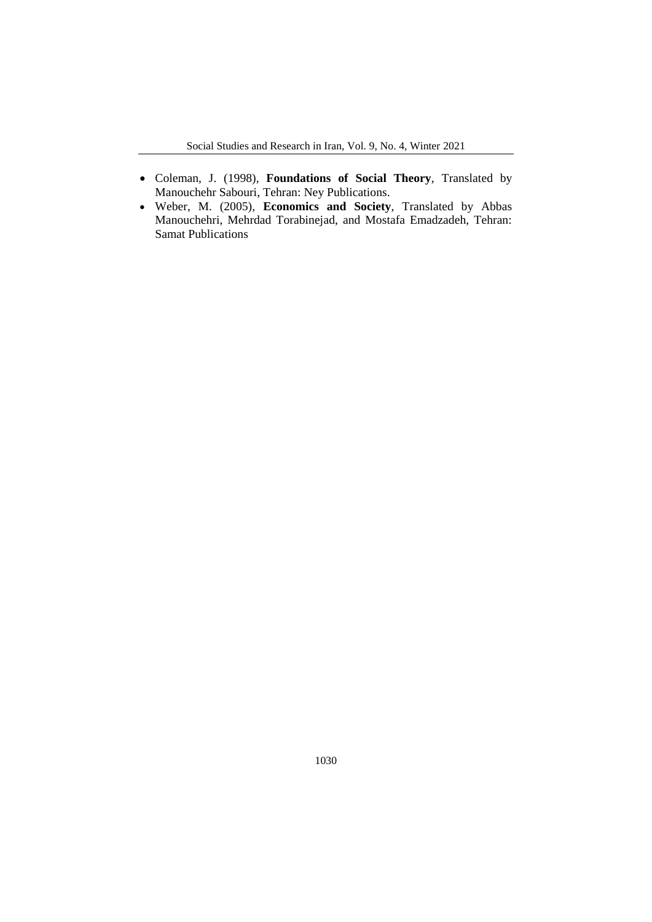- Coleman, J. (1998), **Foundations of Social Theory**, Translated by Manouchehr Sabouri, Tehran: Ney Publications.
- Weber, M. (2005), **Economics and Society**, Translated by Abbas Manouchehri, Mehrdad Torabinejad, and Mostafa Emadzadeh, Tehran: Samat Publications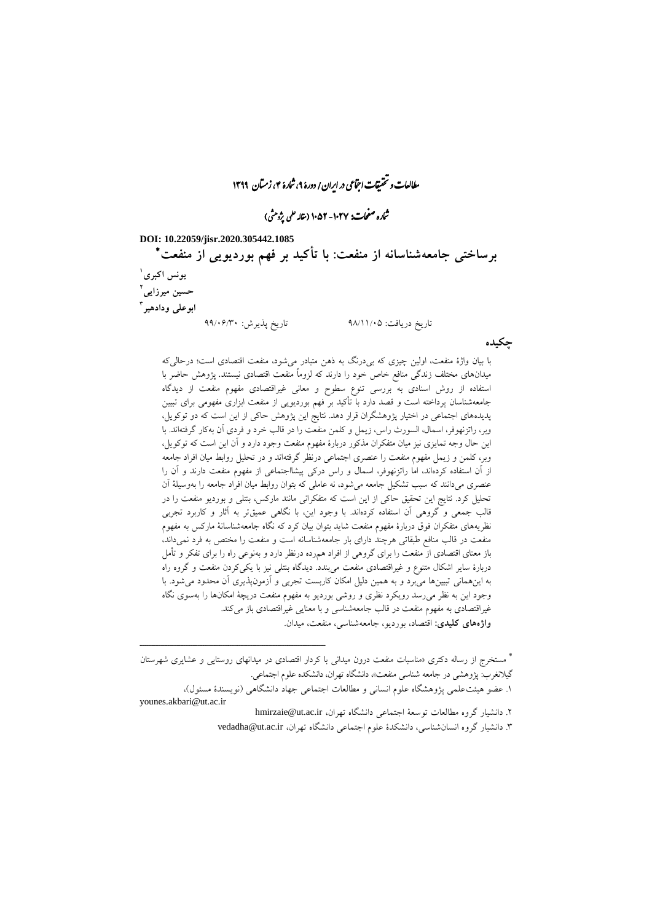مطالعات و تحقیقات اجتماعی در ایران/ دورۀ ۹، شارۀ ۴، زمتان ۱۳۹۹

نماره صفحات: ۱۰۲۷- ۱۰۵۲ (نتاله علمی پژومثی)

**DOI: 10.22059/jisr.2020.305442.1085**

ــــــــــــــــــــــــــــــــــــــــــــــــــــــــــــــــــــــــــــــــــــــــــــــــــــــــــــــــــــــــــــــــــــــــــــــــ

 **برساختی جامعهشناسانه از منفعت: با تأکید بر فهم بوردیویی از منفعت 1 یونس اکبری 2 حسین میرزایی 3 ابوعلی ودادهیر** تاریخ دریافت: 02/11/92 تاریخ پذیرش: 00/90/39

با بیان واژة منفعت، اولین چیزی که بیدرنگ به ذهن متبادر میشود، منفعت اقتصادی است؛ درحالیکه میدانهای مختلف زندگی منافع خاص خود را دارند که لزوماً منفعت اقتصادی نیستند. پژوهش حاضر با استفاده از روش اسنادی به بررسی تنوع سطوح و معانی غیراقتصادی مفهوم منفعت از دیدگاه جامعهشناسان پرداخته است و قصد دارد با تأکید بر فهم بوردیویی از منفعت ابزاری مفهومی برای تبیین پدیدههای اجتماعی در اختیار پژوهشگران قرار دهد. نتایج این پژوهش حاکی از این است که دو توکویل، وبر، راتزنهوفر، اسمال، السورث راس، زیمل و کلمن منفعت را در قالب خرد و فردی آن بهکار گرفتهاند. با این حال وجه تمایزی نیز میان متفکران مذکور دربارة مفهوم منفعت وجود دارد و آن این است که توکویل، وبر، کلمن و زیمل مفهوم منفعت را عنصری اجتماعی درنظر گرفتهاند و در تحلیل روابط میان افراد جامعه از آن استفاده کردهاند، اما راتزنهوفر، اسمال و راس درکی پیشااجتماعی از مفهوم منفعت دارند و آن را عنصری میدانند که سبب تشکیل جامعه میشود، نه عاملی که بتوان روابط میان افراد جامعه را بهوسیلة آن تحلیل کرد. نتایج این تحقیق حاکی از این است که متفکرانی مانند مارکس، بنتلی و بوردیو منفعت را در قالب جمعی و گروهی آن استفاده کردهاند. با وجود این، با نگاهی عمیقتر به آثار و کاربرد تجربی نظریههای متفکران فوق دربارة مفهوم منفعت شاید بتوان بیان کرد که نگاه جامعهشناسانة مارکس به مفهوم منفعت در قالب منافع طبقاتی هرچند دارای بار جامعهشناسانه است و منفعت را مختص به فرد نمیداند، باز معنای اقتصادی از منفعت را برای گروهی از افراد همرده درنظر دارد و بهنوعی راه را برای تفکر و تأمل دربارة سایر اشکال متنوع و غیراقتصادی منفعت میبندد. دیدگاه بنتلی نیز با یکیکردن منفعت و گروه راه به اینهمانی تبیینها میبرد و به همین دلیل امکان کاربست تجربی و آزمونپذیری آن محدود میشود. با وجود این به نظر میرسد رویکرد نظری و روشی بوردیو به مفهوم منفعت دریچة امکانها را بهسوی نگاه غیراقتصادی به مفهوم منفعت در قالب جامعهشناسی و با معنایی غیراقتصادی باز میکند.

**واژههای کلیدی:** اقتصاد، بوردیو، جامعهشناسی، منفعت، میدان.

**چکیده**

 مستخرج از رساله دکتری »مناسبات منفعت درون میدانی با کردار اقتصادی در میدانهای روستایی و عشایری شهرستان گیلانغرب: پژوهشی در جامعه شناسی منفعت»، دانشگاه تهران، دانشکده علوم اجتماعی.

.1 عضو هیئتعلمی پژوهشگاه علوم انسانی و مطالعات اجتماعی جهاد دانشگاهی )نویسندة مسئول(، younes.akbari@ut.ac.ir

.0 دانشیار گروه مطالعات توسعة اجتماعی دانشگاه تهران، ir.ac.ut@hmirzaie

.3 دانشیار گروه انسانشناسی، دانشکدة علوم اجتماعی دانشگاه تهران، ir.ac.ut@vedadha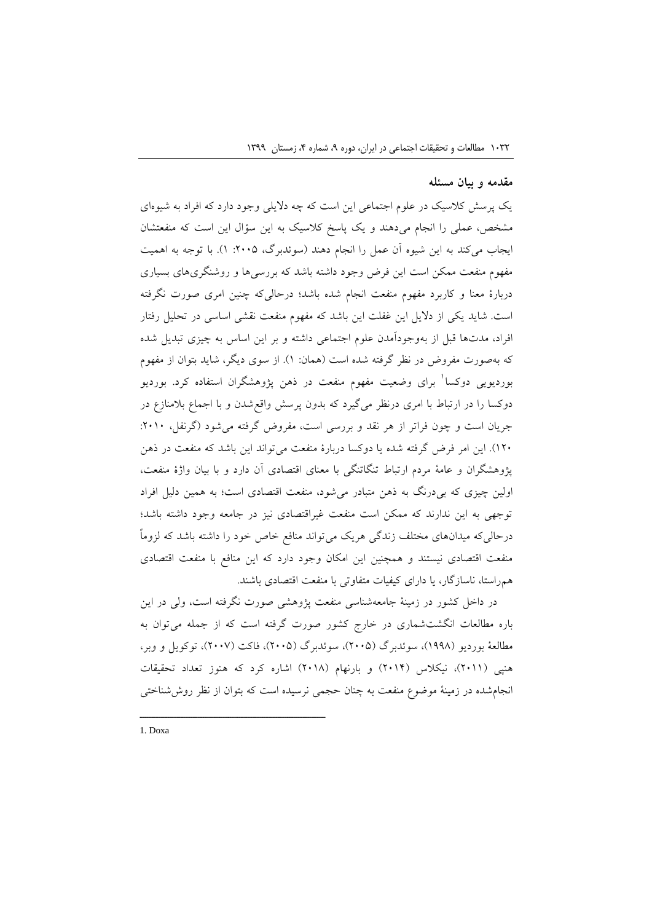### **مقدمه و بیان مسئله**

یک پرسش کالسیک در علوم اجتماعی این است که چه دالیلی وجود دارد که افراد به شیوهای مشخص، عملی را انجام میدهند و یک پاسخ کالسیک به این سؤال این است که منفعتشان ایجاب میکند به این شیوه آن عمل را انجام دهند (سوئدبرگ، ۲۰۰۵: ۱). با توجه به اهمیت مفهوم منفعت ممکن است این فرض وجود داشته باشد که بررسیها و روشنگریهای بسیاری دربارة معنا و کاربرد مفهوم منفعت انجام شده باشد؛ درحالیکه چنین امری صورت نگرفته است. شاید یکی از دالیل این غفلت این باشد که مفهوم منفعت نقشی اساسی در تحلیل رفتار افراد، مدتها قبل از بهوجودآمدن علوم اجتماعی داشته و بر این اساس به چیزی تبدیل شده که بهصورت مفروض در نظر گرفته شده است )همان: 1(. از سوی دیگر، شاید بتوان از مفهوم بوردیویی دوکسا<sup>۱</sup> برای وضعیت مفهوم منفعت در ذهن پژوهشگران استفاده کرد. بوردیو دوکسا را در ارتباط با امری درنظر میگیرد که بدون پرسش واقعشدن و با اجماع بالمنازع در جریان است و چون فراتر از هر نقد و بررسی است، مفروض گرفته میشود )گرنفل، :0919 109(. این امر فرض گرفته شده یا دوکسا دربارة منفعت میتواند این باشد که منفعت در ذهن پژوهشگران و عامة مردم ارتباط تنگاتنگی با معنای اقتصادی آن دارد و با بیان واژة منفعت، اولین چیزی که بیدرنگ به ذهن متبادر میشود، منفعت اقتصادی است؛ به همین دلیل افراد توجهی به این ندارند که ممکن است منفعت غیراقتصادی نیز در جامعه وجود داشته باشد؛ درحالیکه میدانهای مختلف زندگی هریک میتواند منافع خاص خود را داشته باشد که لزوماً منفعت اقتصادی نیستند و همچنین این امکان وجود دارد که این منافع با منفعت اقتصادی همراستا، ناسازگار، یا دارای کیفیات متفاوتی با منفعت اقتصادی باشند.

در داخل کشور در زمینة جامعهشناسی منفعت پژوهشی صورت نگرفته است، ولی در این باره مطالعات انگشتشماری در خارج کشور صورت گرفته است که از جمله میتوان به مطالعهٔ بوردیو (۱۹۹۸)، سوئدبرگ (۲۰۰۵)، سوئدبرگ (۲۰۰۵)، فاکت (۲۰۰۷)، توکویل و وبر، هنپی )0911(، نیکالس )0911( و بارنهام )0912( اشاره کرد که هنوز تعداد تحقیقات انجامشده در زمینة موضوع منفعت به چنان حجمی نرسیده است که بتوان از نظر روششناختی

1. Doxa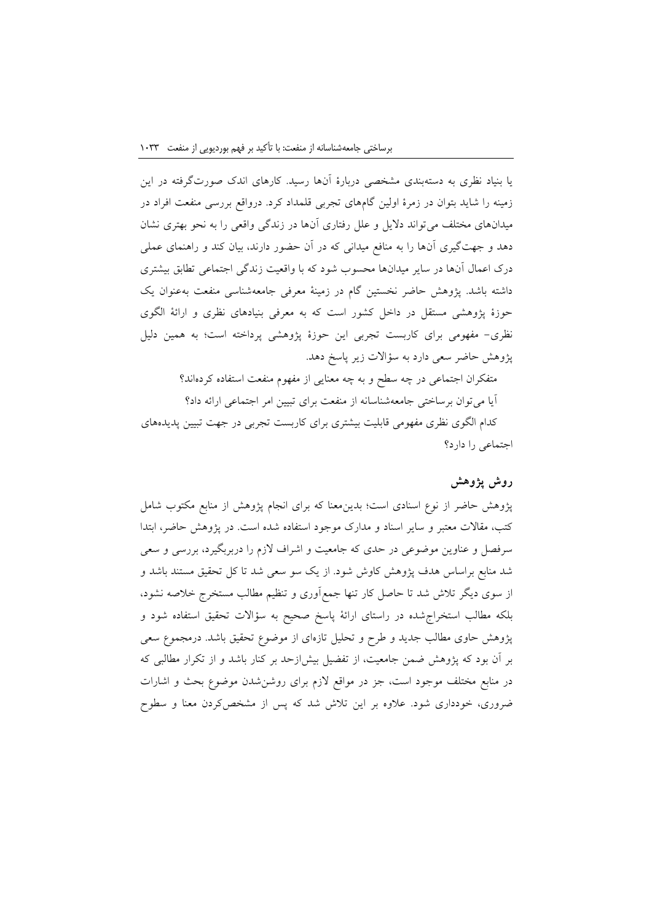یا بنیاد نظری به دستهبندی مشخصی دربارة آنها رسید. کارهای اندک صورتگرفته در این زمینه را شاید بتوان در زمرة اولین گامهای تجربی قلمداد کرد. درواقع بررسی منفعت افراد در میدانهای مختلف میتواند دالیل و علل رفتاری آنها در زندگی واقعی را به نحو بهتری نشان دهد و جهتگیری آنها را به منافع میدانی که در آن حضور دارند، بیان کند و راهنمای عملی درک اعمال آنها در سایر میدانها محسوب شود که با واقعیت زندگی اجتماعی تطابق بیشتری داشته باشد. پژوهش حاضر نخستین گام در زمینة معرفی جامعهشناسی منفعت بهعنوان یک حوزة پژوهشی مستقل در داخل کشور است که به معرفی بنیادهای نظری و ارائة الگوی نظری- مفهومی برای کاربست تجربی این حوزة پژوهشی پرداخته است؛ به همین دلیل پژوهش حاضر سعی دارد به سؤاالت زیر پاسخ دهد.

متفکران اجتماعی در چه سطح و به چه معنایی از مفهوم منفعت استفاده کردهاند؟ آیا میتوان برساختی جامعهشناسانه از منفعت برای تبیین امر اجتماعی ارائه داد؟ کدام الگوی نظری مفهومی قابلیت بیشتری برای کاربست تجربی در جهت تبیین پدیدههای اجتماعی را دارد؟

## **روش پژوهش**

پژوهش حاضر از نوع اسنادی است؛ بدینمعنا که برای انجام پژوهش از منابع مکتوب شامل کتب، مقاالت معتبر و سایر اسناد و مدارک موجود استفاده شده است. در پژوهش حاضر، ابتدا سرفصل و عناوین موضوعی در حدی که جامعیت و اشراف الزم را دربربگیرد، بررسی و سعی شد منابع براساس هدف پژوهش کاوش شود. از یک سو سعی شد تا کل تحقیق مستند باشد و از سوی دیگر تالش شد تا حاصل کار تنها جمعآوری و تنظیم مطالب مستخرج خالصه نشود، بلکه مطالب استخراجشده در راستای ارائة پاسخ صحیح به سؤاالت تحقیق استفاده شود و پژوهش حاوی مطالب جدید و طرح و تحلیل تازهای از موضوع تحقیق باشد. درمجموع سعی بر آن بود که پژوهش ضمن جامعیت، از تفضیل بیشازحد بر کنار باشد و از تکرار مطالبی که در منابع مختلف موجود است، جز در مواقع الزم برای روشنشدن موضوع بحث و اشارات ضروری، خودداری شود. عالوه بر این تالش شد که پس از مشخصکردن معنا و سطوح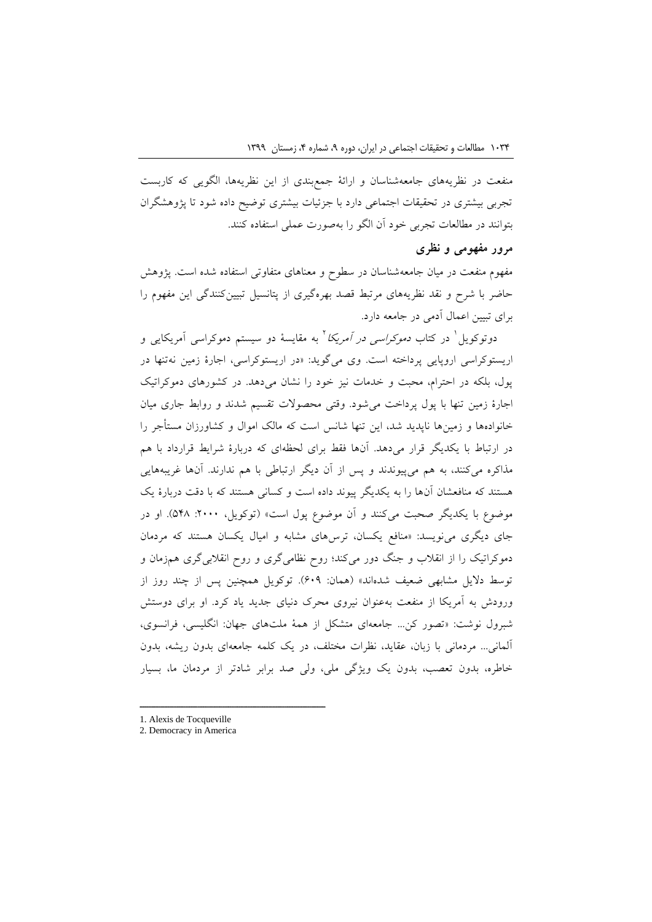منفعت در نظریههای جامعهشناسان و ارائة جمعبندی از این نظریهها، الگویی که کاربست تجربی بیشتری در تحقیقات اجتماعی دارد با جزئیات بیشتری توضیح داده شود تا پژوهشگران بتوانند در مطالعات تجربی خود آن الگو را بهصورت عملی استفاده کنند.

# **مرور مفهومی و نظری**

مفهوم منفعت در میان جامعهشناسان در سطوح و معناهای متفاوتی استفاده شده است. پژوهش حاضر با شرح و نقد نظریههای مرتبط قصد بهرهگیری از پتانسیل تبیینکنندگی این مفهوم را برای تبیین اعمال آدمی در جامعه دارد.

دوتوکویل<sup>'</sup> در کتاب *دموکراسی در آمریکا* ' به مقایسهٔ دو سیستم دموکراسی آمریکایی و اریستوکراسی اروپایی پرداخته است. وی میگوید: »در اریستوکراسی، اجارة زمین نهتنها در پول، بلکه در احترام، محبت و خدمات نیز خود را نشان میدهد. در کشورهای دموکراتیک اجارة زمین تنها با پول پرداخت میشود. وقتی محصوالت تقسیم شدند و روابط جاری میان خانوادهها و زمینها ناپدید شد، این تنها شانس است که مالک اموال و کشاورزان مستأجر را در ارتباط با یکدیگر قرار میدهد. آنها فقط برای لحظهای که دربارة شرایط قرارداد با هم مذاکره میکنند، به هم میپیوندند و پس از آن دیگر ارتباطی با هم ندارند. آنها غریبههایی هستند که منافعشان آنها را به یکدیگر پیوند داده است و کسانی هستند که با دقت دربارة یک موضوع با یکدیگر صحبت میکنند و آن موضوع پول است» (توکویل، ۲۰۰۰: ۵۴۸). او در جای دیگری مینویسد: »منافع یکسان، ترسهای مشابه و امیال یکسان هستند که مردمان دموکراتیک را از انقالب و جنگ دور میکند؛ روح نظامیگری و روح انقالبیگری همزمان و توسط دلایل مشابهی ضعیف شدهاند» (همان: ۶۰۹). توکویل همچنین پس از چند روز از ورودش به آمریکا از منفعت بهعنوان نیروی محرک دنیای جدید یاد کرد. او برای دوستش شبرول نوشت: »تصور کن... جامعهای متشکل از همة ملتهای جهان: انگلیسی، فرانسوی، آلمانی... مردمانی با زبان، عقاید، نظرات مختلف، در یک کلمه جامعهای بدون ریشه، بدون خاطره، بدون تعصب، بدون یک ویژگی ملی، ولی صد برابر شادتر از مردمان ما، بسیار

1. Alexis de Tocqueville

ــــــــــــــــــــــــــــــــــــــــــــــــــــــــــــــــــــــــــــــــــــــــــــــــــــــــــــــــــــــــــــــــــــــــــــــــ

2. Democracy in America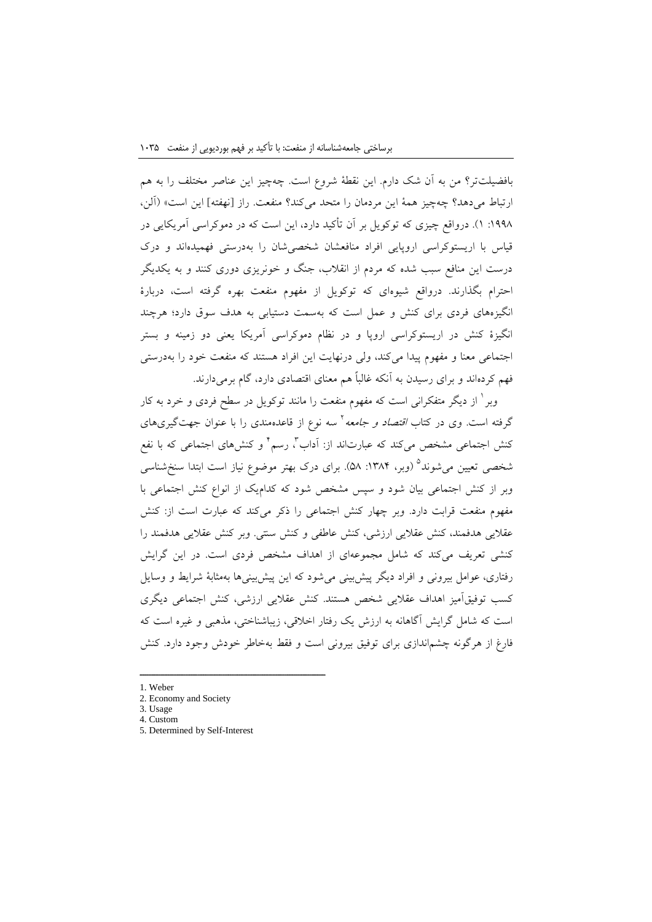بافضیلتتر؟ من به آن شک دارم. این نقطة شروع است. چهچیز این عناصر مختلف را به هم ارتباط میدهد؟ چهچیز همة این مردمان را متحد میکند؟ منفعت. راز ]نهفته[ این است« )آلن، :1002 1(. درواقع چیزی که توکویل بر آن تأکید دارد، این است که در دموکراسی آمریکایی در قیاس با اریستوکراسی اروپایی افراد منافعشان شخصیشان را بهدرستی فهمیدهاند و درک درست این منافع سبب شده که مردم از انقالب، جنگ و خونریزی دوری کنند و به یکدیگر احترام بگذارند. درواقع شیوهای که توکویل از مفهوم منفعت بهره گرفته است، دربارة انگیزههای فردی برای کنش و عمل است که بهسمت دستیابی به هدف سوق دارد؛ هرچند انگیزة کنش در اریستوکراسی اروپا و در نظام دموکراسی آمریکا یعنی دو زمینه و بستر اجتماعی معنا و مفهوم پیدا میکند، ولی درنهایت این افراد هستند که منفعت خود را بهدرستی فهم کردهاند و برای رسیدن به آنکه غالباً هم معنای اقتصادی دارد، گام برمیدارند.

وبر 1 از دیگر متفکرانی است که مفهوم منفعت را مانند توکویل در سطح فردی و خرد به کار گرفته است. وی در کتاب *اقتصاد و جامعه* <sup>۱</sup> سه نوع از قاعدهمندی را با عنوان جهتگیریهای کنش اجتماعی مشخص میکند که عبارتاند از: اَداب <sup>۲</sup>، رسم <sup>۲</sup> و کنشهای اجتماعی که با نفع شخصی تعیین میشوند<sup>0</sup> (وبر، ۱۳۸۴: ۵۸). برای درک بهتر موضوع نیاز است ابتدا سنخشناسی وبر از کنش اجتماعی بیان شود و سپس مشخص شود که کدامیک از انواع کنش اجتماعی با مفهوم منفعت قرابت دارد. وبر چهار کنش اجتماعی را ذکر میکند که عبارت است از: کنش عقالیی هدفمند، کنش عقالیی ارزشی، کنش عاطفی و کنش سنتی. وبر کنش عقالیی هدفمند را کنشی تعریف میکند که شامل مجموعهای از اهداف مشخص فردی است. در این گرایش رفتاری، عوامل بیرونی و افراد دیگر پیشبینی میشود که این پیشبینیها بهمثابة شرایط و وسایل کسب توفیقآمیز اهداف عقالیی شخص هستند. کنش عقالیی ارزشی، کنش اجتماعی دیگری است که شامل گرایش آگاهانه به ارزش یک رفتار اخالقی، زیباشناختی، مذهبی و غیره است که فارغ از هرگونه چشماندازی برای توفیق بیرونی است و فقط بهخاطر خودش وجود دارد. کنش

- 1. Weber
- 2. Economy and Society
- 3. Usage 4. Custom
- 5. Determined by Self-Interest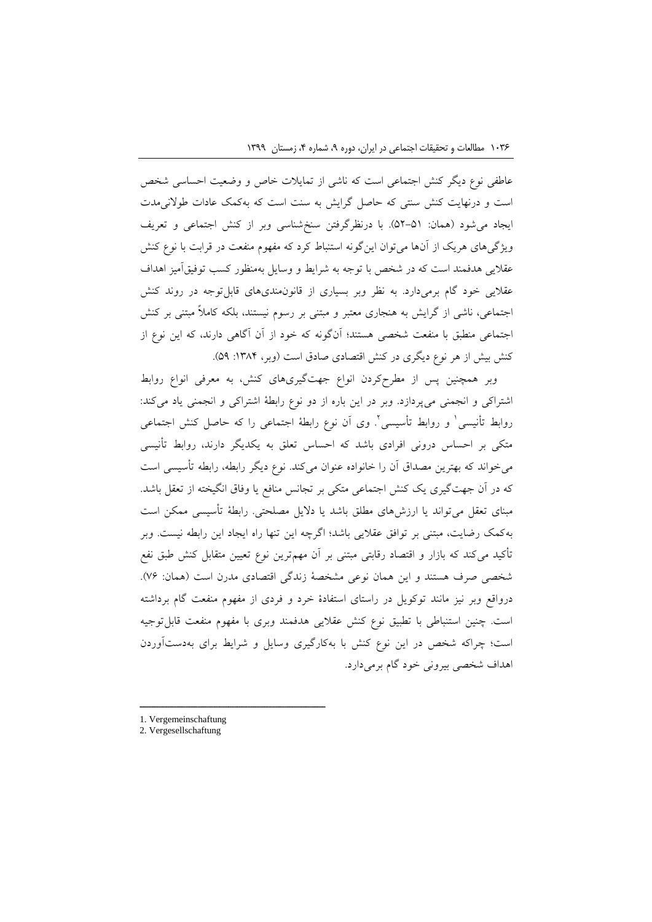عاطفی نوع دیگر کنش اجتماعی است که ناشی از تمایالت خاص و وضعیت احساسی شخص است و درنهایت کنش سنتی که حاصل گرایش به سنت است که بهکمک عادات طوالنیمدت ایجاد میشود (همان: ۵۱–۵۲). با درنظرگرفتن سنخشناسی وبر از کنش اجتماعی و تعریف ویژگیهای هریک از آنها میتوان اینگونه استنباط کرد که مفهوم منفعت در قرابت با نوع کنش عقالیی هدفمند است که در شخص با توجه به شرایط و وسایل بهمنظور کسب توفیقآمیز اهداف عقلایی خود گام برمیدارد. به نظر وبر بسیاری از قانون مندیهای قابل توجه در روند کنش اجتماعی، ناشی از گرایش به هنجاری معتبر و مبتنی بر رسوم نیستند، بلکه کامالً مبتنی بر کنش اجتماعی منطبق با منفعت شخصی هستند؛ آنگونه که خود از آن آگاهی دارند، که این نوع از کنش بیش از هر نوع دیگری در کنش اقتصادی صادق است (وبر، ۱۳۸۴: ۵۹).

وبر همچنین پس از مطرحکردن انواع جهتگیریهای کنش، به معرفی انواع روابط اشتراکی و انجمنی میپردازد. وبر در این باره از دو نوع رابطة اشتراکی و انجمنی یاد میکند: روابط تأنیسی ٰ و روابط تأسیسی ٗ وی آن نوع رابطهٔ اجتماعی را که حاصل کنش اجتماعی متکی بر احساس درونی افرادی باشد که احساس تعلق به یکدیگر دارند، روابط تأنیسی میخواند که بهترین مصداق آن را خانواده عنوان میکند. نوع دیگر رابطه، رابطه تأسیسی است که در آن جهتگیری یک کنش اجتماعی متکی بر تجانس منافع یا وفاق انگیخته از تعقل باشد. مبنای تعقل میتواند یا ارزشهای مطلق باشد یا دالیل مصلحتی. رابطة تأسیسی ممکن است بهکمک رضایت، مبتنی بر توافق عقالیی باشد؛ اگرچه این تنها راه ایجاد این رابطه نیست. وبر تأکید میکند که بازار و اقتصاد رقابتی مبتنی بر آن مهمترین نوع تعیین متقابل کنش طبق نفع شخصی صرف هستند و این همان نوعی مشخصة زندگی اقتصادی مدرن است )همان: 90(. درواقع وبر نیز مانند توکویل در راستای استفادة خرد و فردی از مفهوم منفعت گام برداشته است. چنین استنباطی با تطبیق نوع کنش عقالیی هدفمند وبری با مفهوم منفعت قابلتوجیه است؛ چراکه شخص در این نوع کنش با بهکارگیری وسایل و شرایط برای بهدستآوردن اهداف شخصی بیرونی خود گام برمیدارد.

<sup>1.</sup> Vergemeinschaftung

<sup>2.</sup> Vergesellschaftung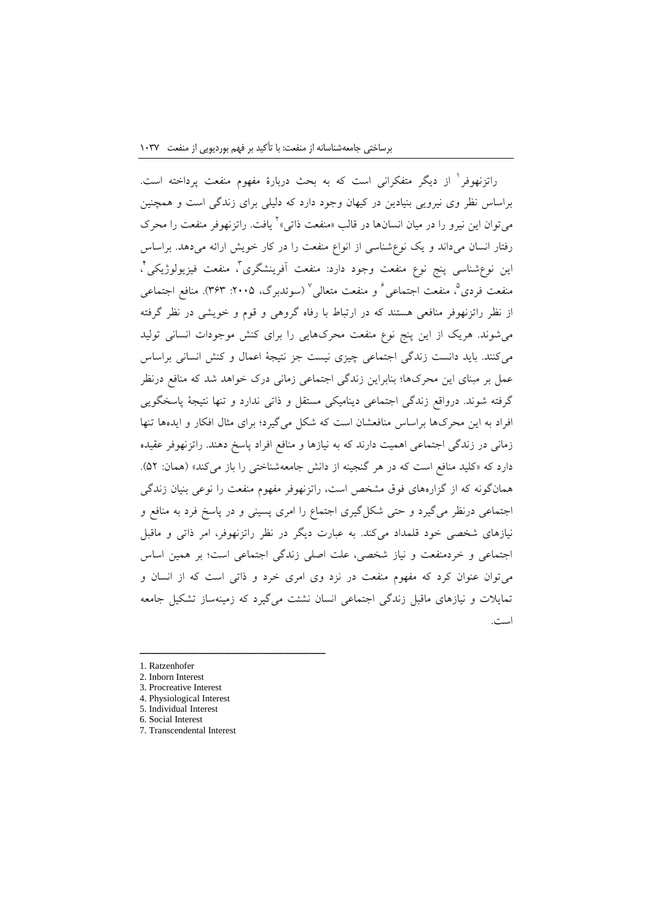راتزنهوفر<sup>ا</sup> از دیگر متفکرانی است که به بحث دربارهٔ مفهوم منفعت پرداخته است. براساس نظر وی نیرویی بنیادین در کیهان وجود دارد که دلیلی برای زندگی است و همچنین میتوان این نیرو را در میان انسانها در قالب «منفعت ذاتی» ٔ یافت. راتزنهوفر منفعت را محرک رفتار انسان میداند و یک نوعشناسی از انواع منفعت را در کار خویش ارائه میدهد. براساس ین نوعشناسی پنج نوع منفعت وجود دارد: منفعت أفرینشگری<sup>م</sup>، منفعت فیزیولوژیکی<sup>م</sup>، منفعت فردی°، منفعت اجتماعی<sup>√</sup> و منفعت متعال<sub>ی</sub>° (سوئدبرگ، ۲۰۰۵: ۳۶۳). منافع اجتماعی از نظر راتزنهوفر منافعی هستند که در ارتباط با رفاه گروهی و قوم و خویشی در نظر گرفته میشوند. هریک از این پنج نوع منفعت محرکهایی را برای کنش موجودات انسانی تولید میکنند. باید دانست زندگی اجتماعی چیزی نیست جز نتیجة اعمال و کنش انسانی براساس عمل بر مبنای این محرکها؛ بنابراین زندگی اجتماعی زمانی درک خواهد شد که منافع درنظر گرفته شوند. درواقع زندگی اجتماعی دینامیکی مستقل و ذاتی ندارد و تنها نتیجة پاسخگویی افراد به این محرکها براساس منافعشان است که شکل میگیرد؛ برای مثال افکار و ایدهها تنها زمانی در زندگی اجتماعی اهمیت دارند که به نیازها و منافع افراد پاسخ دهند. راتزنهوفر عقیده دارد که «کلید منافع است که در هر گنجینه از دانش جامعهشناختی را باز می کند» (همان: ۵۲). همانگونه که از گزارههای فوق مشخص است، راتزنهوفر مفهوم منفعت را نوعی بنیان زندگی اجتماعی درنظر میگیرد و حتی شکلگیری اجتماع را امری پسینی و در پاسخ فرد به منافع و نیازهای شخصی خود قلمداد میکند. به عبارت دیگر در نظر راتزنهوفر، امر ذاتی و ماقبل اجتماعی و خردمنفعت و نیاز شخصی، علت اصلی زندگی اجتماعی است؛ بر همین اساس میتوان عنوان کرد که مفهوم منفعت در نزد وی امری خرد و ذاتی است که از انسان و تمایالت و نیازهای ماقبل زندگی اجتماعی انسان نشئت میگیرد که زمینهساز تشکیل جامعه است.

- 1. Ratzenhofer
- 2. Inborn Interest
- 3. Procreative Interest

- 4. Physiological Interest
- 5. Individual Interest 6. Social Interest
- 7. Transcendental Interest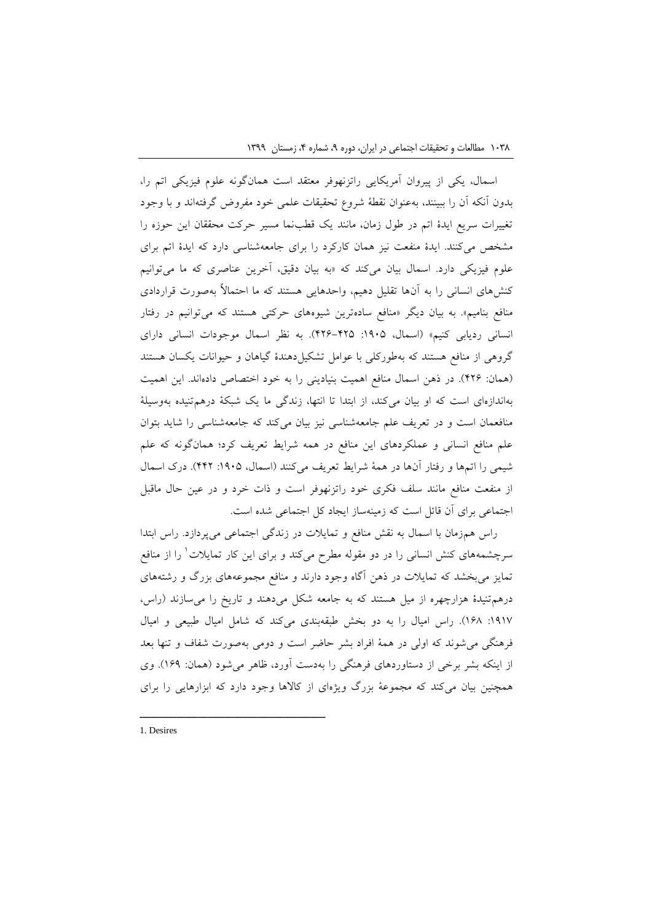اسمال، یکی از پیروان آمریکایی راتزنهوفر معتقد است همانگونه علوم فیزیکی اتم را، بدون آنکه آن را ببینند، بهعنوان نقطة شروع تحقیقات علمی خود مفروض گرفتهاند و با وجود تغییرات سریع ایدة اتم در طول زمان، مانند یک قطبنما مسیر حرکت محققان این حوزه را مشخص میکنند. ایدة منفعت نیز همان کارکرد را برای جامعهشناسی دارد که ایدة اتم برای علوم فیزیکی دارد. اسمال بیان میکند که »به بیان دقیق، آخرین عناصری که ما میتوانیم کنشهای انسانی را به آنها تقلیل دهیم، واحدهایی هستند که ما احتماالً بهصورت قراردادی منافع بنامیم». به بیان دیگر «منافع سادهترین شیوههای حرکتی هستند که میتوانیم در رفتار انسانی ردیابی کنیم« )اسمال، :1092 100-102(. به نظر اسمال موجودات انسانی دارای گروهی از منافع هستند که بهطورکلی با عوامل تشکیلدهندة گیاهان و حیوانات یکسان هستند )همان: 100(. در ذهن اسمال منافع اهمیت بنیادینی را به خود اختصاص دادهاند. این اهمیت بهاندازهای است که او بیان میکند، از ابتدا تا انتها، زندگی ما یک شبکة درهمتنیده بهوسیلة منافعمان است و در تعریف علم جامعهشناسی نیز بیان میکند که جامعهشناسی را شاید بتوان علم منافع انسانی و عملکردهای این منافع در همه شرایط تعریف کرد؛ همانگونه که علم شیمی را اتمها و رفتار آنها در همة شرایط تعریف میکنند )اسمال، :1092 110(. درک اسمال از منفعت منافع مانند سلف فکری خود راتزنهوفر است و ذات خرد و در عین حال ماقبل اجتماعی برای آن قائل است که زمینهساز ایجاد کل اجتماعی شده است.

راس همزمان با اسمال به نقش منافع و تمایالت در زندگی اجتماعی میپردازد. راس ابتدا سرچشمههای کنش انسانی را در دو مقوله مطرح میکند و برای این کار تمایلات<sup>۱</sup> را از منافع تمایز میبخشد که تمایالت در ذهن آگاه وجود دارند و منافع مجموعههای بزرگ و رشتههای درهمتنیدة هزارچهره از میل هستند که به جامعه شکل میدهند و تاریخ را میسازند )راس، :1019 102(. راس امیال را به دو بخش طبقهبندی میکند که شامل امیال طبیعی و امیال فرهنگی میشوند که اولی در همة افراد بشر حاضر است و دومی بهصورت شفاف و تنها بعد از اینکه بشر برخی از دستاوردهای فرهنگی را بهدست آورد، ظاهر میشود )همان: 100(. وی همچنین بیان میکند که مجموعة بزرگ ویژهای از کاالها وجود دارد که ابزارهایی را برای

1. Desires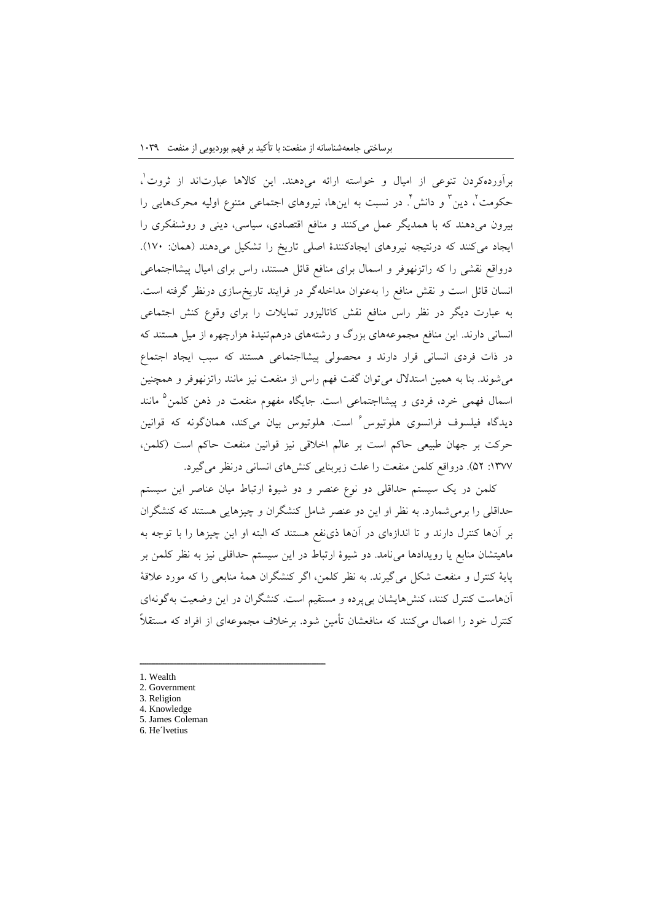برآوردهکردن تنوعی از امیال و خواسته ارائه میدهند. این کالاها عبارتاند از ثروت'، حکومت ٔ، دین ٔ و دانش ٔ. در نسبت به اینها، نیروهای اجتماعی متنوع اولیه محرکهایی را بیرون میدهند که با همدیگر عمل میکنند و منافع اقتصادی، سیاسی، دینی و روشنفکری را ایجاد میکنند که درنتیجه نیروهای ایجادکنندهٔ اصلی تاریخ را تشکیل میدهند (همان: ١٧٠). درواقع نقشی را که راتزنهوفر و اسمال برای منافع قائل هستند، راس برای امیال پیشااجتماعی انسان قائل است و نقش منافع را بهعنوان مداخلهگر در فرایند تاریخسازی درنظر گرفته است. به عبارت دیگر در نظر راس منافع نقش کاتالیزور تمایالت را برای وقوع کنش اجتماعی انسانی دارند. این منافع مجموعههای بزرگ و رشتههای درهمتنیدة هزارچهره از میل هستند که در ذات فردی انسانی قرار دارند و محصولی پیشااجتماعی هستند که سبب ایجاد اجتماع میشوند. بنا به همین استدالل میتوان گفت فهم راس از منفعت نیز مانند راتزنهوفر و همچنین سمال فهمی خرد، فردی و پیشااجتماعی است. جایگاه مفهوم منفعت در ذهن کلمن<sup>۵</sup> مانند دیدگاه فیلسوف فرانسوی هلوتیوس<sup>7</sup> است. هلوتیوس بیان میکند، همانگونه که قوانین حرکت بر جهان طبیعی حاکم است بر عالم اخالقی نیز قوانین منفعت حاکم است )کلمن، :1399 20(. درواقع کلمن منفعت را علت زیربنایی کنشهای انسانی درنظر میگیرد.

کلمن در یک سیستم حداقلی دو نوع عنصر و دو شیوة ارتباط میان عناصر این سیستم حداقلی را برمیشمارد. به نظر او این دو عنصر شامل کنشگران و چیزهایی هستند که کنشگران بر آنها کنترل دارند و تا اندازهای در آنها ذینفع هستند که البته او این چیزها را با توجه به ماهیتشان منابع یا رویدادها مینامد. دو شیوة ارتباط در این سیستم حداقلی نیز به نظر کلمن بر پایة کنترل و منفعت شکل میگیرند. به نظر کلمن، اگر کنشگران همة منابعی را که مورد عالقة آنهاست کنترل کنند، کنشهایشان بیپرده و مستقیم است. کنشگران در این وضعیت بهگونهای کنترل خود را اعمال میکنند که منافعشان تأمین شود. برخالف مجموعهای از افراد که مستقالً

- 1. Wealth
- 2. Government
- 3. Religion
- 4. Knowledge 5. James Coleman

ــــــــــــــــــــــــــــــــــــــــــــــــــــــــــــــــــــــــــــــــــــــــــــــــــــــــــــــــــــــــــــــــــــــــــــــــ

6. He´lvetius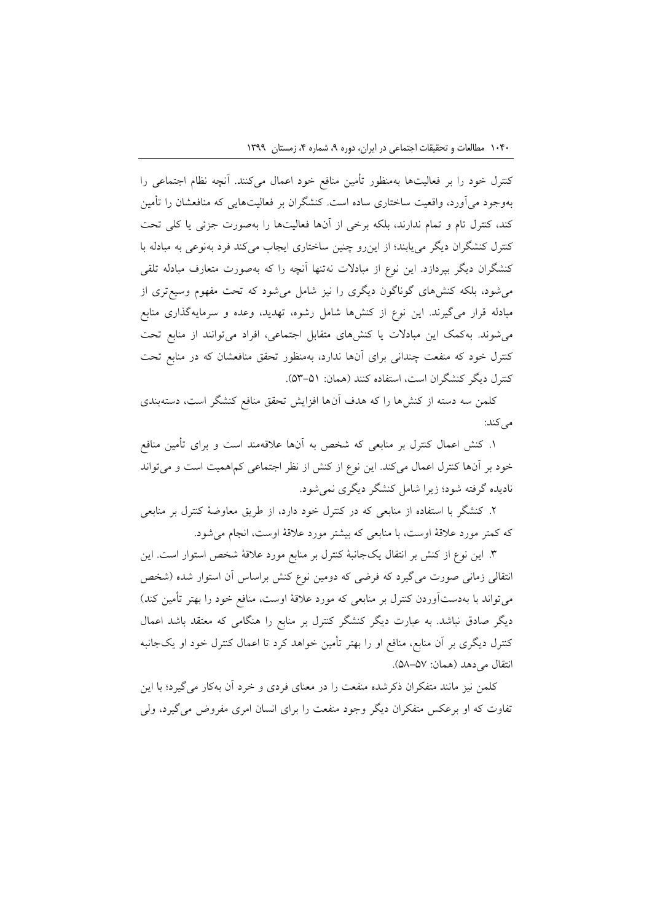کنترل خود را بر فعالیتها بهمنظور تأمین منافع خود اعمال میکنند. آنچه نظام اجتماعی را بهوجود میآورد، واقعیت ساختاری ساده است. کنشگران بر فعالیتهایی که منافعشان را تأمین کند، کنترل تام و تمام ندارند، بلکه برخی از آنها فعالیتها را بهصورت جزئی یا کلی تحت کنترل کنشگران دیگر مییابند؛ از اینرو چنین ساختاری ایجاب میکند فرد بهنوعی به مبادله با کنشگران دیگر بپردازد. این نوع از مبادالت نهتنها آنچه را که بهصورت متعارف مبادله تلقی میشود، بلکه کنشهای گوناگون دیگری را نیز شامل میشود که تحت مفهوم وسیعتری از مبادله قرار میگیرند. این نوع از کنشها شامل رشوه، تهدید، وعده و سرمایهگذاری منابع میشوند. بهکمک این مبادالت یا کنشهای متقابل اجتماعی، افراد میتوانند از منابع تحت کنترل خود که منفعت چندانی برای آنها ندارد، بهمنظور تحقق منافعشان که در منابع تحت کنترل دیگر کنشگران است، استفاده کنند )همان: 23-21(.

کلمن سه دسته از کنشها را که هدف آنها افزایش تحقق منافع کنشگر است، دستهبندی می کند:

.1 کنش اعمال کنترل بر منابعی که شخص به آنها عالقهمند است و برای تأمین منافع خود بر آنها کنترل اعمال میکند. این نوع از کنش از نظر اجتماعی کماهمیت است و میتواند نادیده گرفته شود؛ زیرا شامل کنشگر دیگری نمیشود.

.0 کنشگر با استفاده از منابعی که در کنترل خود دارد، از طریق معاوضة کنترل بر منابعی که کمتر مورد عالقة اوست، با منابعی که بیشتر مورد عالقة اوست، انجام میشود.

.3 این نوع از کنش بر انتقال یکجانبة کنترل بر منابع مورد عالقة شخص استوار است. این انتقالی زمانی صورت میگیرد که فرضی که دومین نوع کنش براساس آن استوار شده )شخص میتواند با بهدستآوردن کنترل بر منابعی که مورد عالقة اوست، منافع خود را بهتر تأمین کند( دیگر صادق نباشد. به عبارت دیگر کنشگر کنترل بر منابع را هنگامی که معتقد باشد اعمال کنترل دیگری بر آن منابع، منافع او را بهتر تأمین خواهد کرد تا اعمال کنترل خود او یکجانبه انتقال می دهد (همان: ۵۷-۵۸).

کلمن نیز مانند متفکران ذکرشده منفعت را در معنای فردی و خرد آن بهکار میگیرد؛ با این تفاوت که او برعکس متفکران دیگر وجود منفعت را برای انسان امری مفروض میگیرد، ولی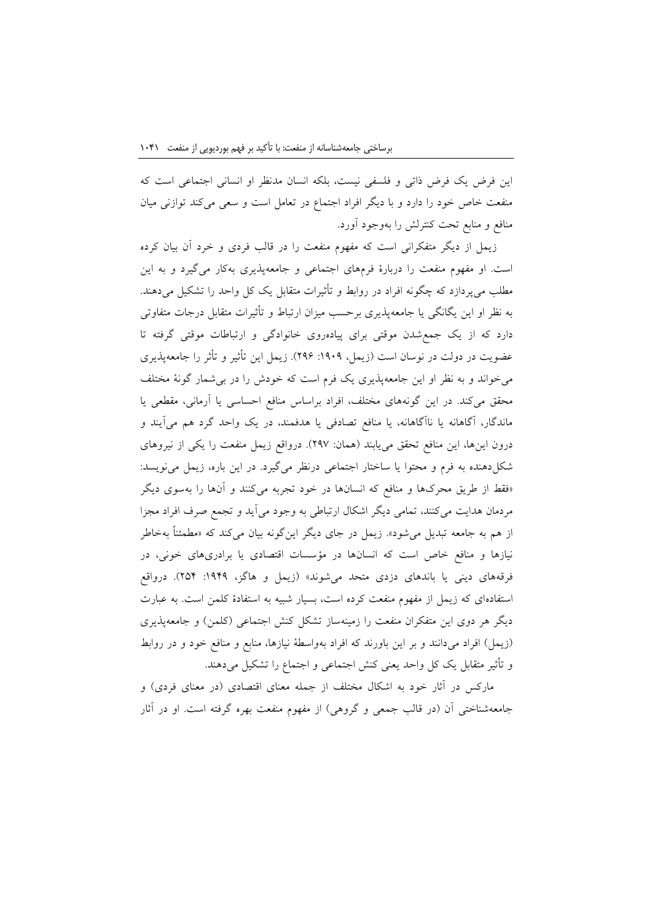این فرض یک فرض ذاتی و فلسفی نیست، بلکه انسان مدنظر او انسانی اجتماعی است که منفعت خاص خود را دارد و با دیگر افراد اجتماع در تعامل است و سعی میکند توازنی میان منافع و منابع تحت کنترلش را بهوجود آورد.

زیمل از دیگر متفکرانی است که مفهوم منفعت را در قالب فردی و خرد آن بیان کرده است. او مفهوم منفعت را دربارة فرمهای اجتماعی و جامعهپذیری بهکار میگیرد و به این مطلب میپردازد که چگونه افراد در روابط و تأثیرات متقابل یک کل واحد را تشکیل میدهند. به نظر او این یگانگی یا جامعهپذیری برحسب میزان ارتباط و تأثیرات متقابل درجات متفاوتی دارد که از یک جمعشدن موقتی برای پیادهروی خانوادگی و ارتباطات موقتی گرفته تا عضویت در دولت در نوسان است (زیمل، ۱۹۰۹: ۲۹۶). زیمل این تأثیر و تأثر را جامعهپذیری میخواند و به نظر او این جامعهپذیری یک فرم است که خودش را در بیشمار گونة مختلف محقق میکند. در این گونههای مختلف، افراد براساس منافع احساسی یا آرمانی، مقطعی یا ماندگار، آگاهانه یا ناآگاهانه، یا منافع تصادفی یا هدفمند، در یک واحد گرد هم میآیند و درون اینها، این منافع تحقق مییابند )همان: 009(. درواقع زیمل منفعت را یکی از نیروهای شکلدهنده به فرم و محتوا یا ساختار اجتماعی درنظر میگیرد. در این باره، زیمل مینویسد: »فقط از طریق محرکها و منافع که انسانها در خود تجربه میکنند و آنها را بهسوی دیگر مردمان هدایت میکنند، تمامی دیگر اشکال ارتباطی به وجود میآید و تجمع صرف افراد مجزا از هم به جامعه تبدیل میشود«. زیمل در جای دیگر اینگونه بیان میکند که »مطمئناً بهخاطر نیازها و منافع خاص است که انسانها در مؤسسات اقتصادی یا برادریهای خونی، در فرقههای دینی یا باندهای دزدی متحد میشوند» (زیمل و هاگز، ۱۹۴۹: ۲۵۴). درواقع استفادهای که زیمل از مفهوم منفعت کرده است، بسیار شبیه به استفادة کلمن است. به عبارت دیگر هر دوی این متفکران منفعت را زمینهساز تشکل کنش اجتماعی (کلمن) و جامعهپذیری )زیمل( افراد میدانند و بر این باورند که افراد بهواسطة نیازها، منابع و منافع خود و در روابط و تأثیر متقابل یک کل واحد یعنی کنش اجتماعی و اجتماع را تشکیل میدهند.

مارکس در آثار خود به اشکال مختلف از جمله معنای اقتصادی (در معنای فردی) و جامعهشناختی آن (در قالب جمعی و گروهی) از مفهوم منفعت بهره گرفته است. او در آثار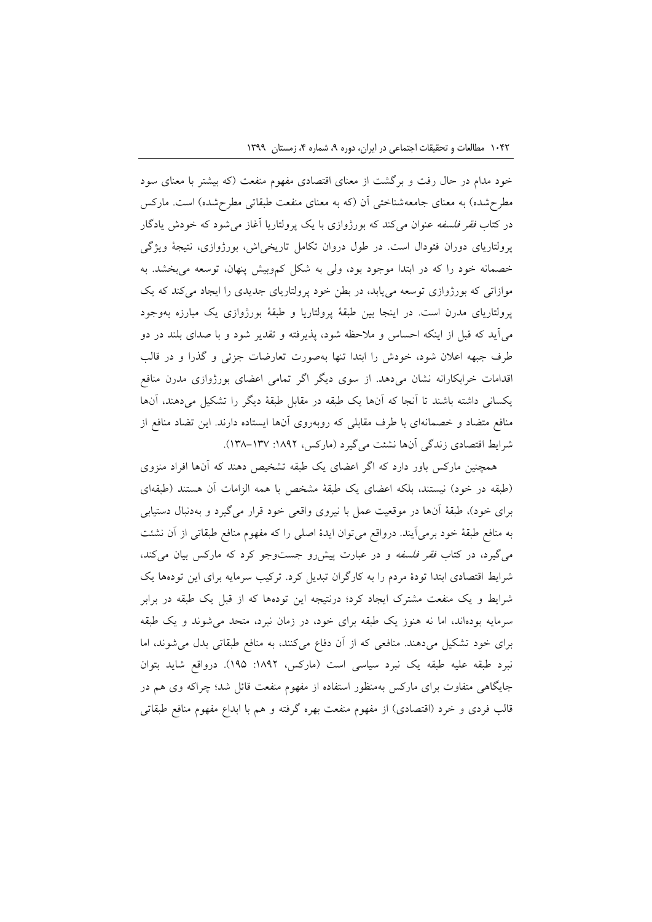خود مدام در حال رفت و برگشت از معنای اقتصادی مفهوم منفعت )که بیشتر با معنای سود مطرحشده) به معنای جامعهشناختی آن (که به معنای منفعت طبقاتی مطرحشده) است. مارکس در کتاب *فقر فلسفه* عنوان میکند که بورژوازی با یک پرولتاریا آغاز میشود که خودش یادگار پرولتاریای دوران فئودال است. در طول دروان تکامل تاریخیاش، بورژوازی، نتیجة ویژگی خصمانه خود را که در ابتدا موجود بود، ولی به شکل کموبیش پنهان، توسعه میبخشد. به موازاتی که بورژوازی توسعه مییابد، در بطن خود پرولتاریای جدیدی را ایجاد میکند که یک پرولتاریای مدرن است. در اینجا بین طبقة پرولتاریا و طبقة بورژوازی یک مبارزه بهوجود میآید که قبل از اینکه احساس و مالحظه شود، پذیرفته و تقدیر شود و با صدای بلند در دو طرف جبهه اعالن شود، خودش را ابتدا تنها بهصورت تعارضات جزئی و گذرا و در قالب اقدامات خرابکارانه نشان میدهد. از سوی دیگر اگر تمامی اعضای بورژوازی مدرن منافع یکسانی داشته باشند تا آنجا که آنها یک طبقه در مقابل طبقة دیگر را تشکیل میدهند، آنها منافع متضاد و خصمانهای با طرف مقابلی که روبهروی آنها ایستاده دارند. این تضاد منافع از شرایط اقتصادی زندگی آنها نشئت میگیرد (مارکس، ۱۸۹۲: ۱۳۷–۱۳۸).

همچنین مارکس باور دارد که اگر اعضای یک طبقه تشخیص دهند که آنها افراد منزوی (طبقه در خود) نیستند، بلکه اعضای یک طبقهٔ مشخص با همه الزامات آن هستند (طبقهای برای خود(، طبقة آنها در موقعیت عمل با نیروی واقعی خود قرار میگیرد و بهدنبال دستیابی به منافع طبقة خود برمیآیند. درواقع میتوان ایدة اصلی را که مفهوم منافع طبقاتی از آن نشئت میگیرد، در کتاب فقر فلسفه و در عبارت پیشرو جستوجو کرد که مارکس بیان میکند، شرایط اقتصادی ابتدا تودة مردم را به کارگران تبدیل کرد. ترکیب سرمایه برای این تودهها یک شرایط و یک منفعت مشترک ایجاد کرد؛ درنتیجه این تودهها که از قبل یک طبقه در برابر سرمایه بودهاند، اما نه هنوز یک طبقه برای خود، در زمان نبرد، متحد میشوند و یک طبقه برای خود تشکیل میدهند. منافعی که از آن دفاع میکنند، به منافع طبقاتی بدل میشوند، اما نبرد طبقه علیه طبقه یک نبرد سیاسی است (مارکس، ۱۸۹۲: ۱۹۵). درواقع شاید بتوان جایگاهی متفاوت برای مارکس بهمنظور استفاده از مفهوم منفعت قائل شد؛ چراکه وی هم در قالب فردی و خرد (اقتصادی) از مفهوم منفعت بهره گرفته و هم با ابداع مفهوم منافع طبقاتی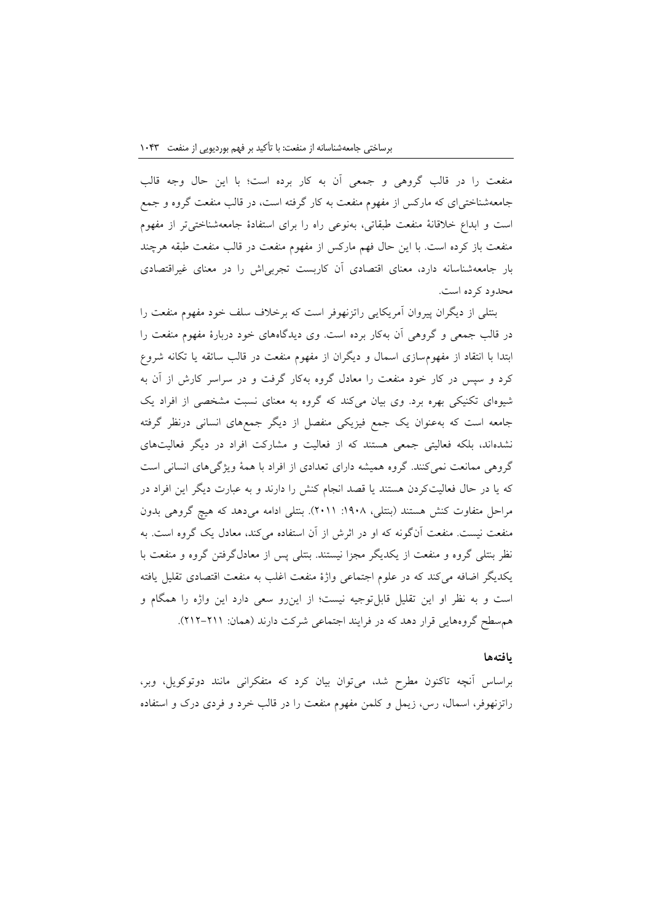منفعت را در قالب گروهی و جمعی آن به کار برده است؛ با این حال وجه قالب جامعهشناختیای که مارکس از مفهوم منفعت به کار گرفته است، در قالب منفعت گروه و جمع است و ابداع خالقانة منفعت طبقاتی، بهنوعی راه را برای استفادة جامعهشناختیتر از مفهوم منفعت باز کرده است. با این حال فهم مارکس از مفهوم منفعت در قالب منفعت طبقه هرچند بار جامعهشناسانه دارد، معنای اقتصادی آن کاربست تجربیاش را در معنای غیراقتصادی محدود کرده است.

بنتلی از دیگران پیروان آمریکایی راتزنهوفر است که برخالف سلف خود مفهوم منفعت را در قالب جمعی و گروهی آن بهکار برده است. وی دیدگاههای خود دربارة مفهوم منفعت را ابتدا با انتقاد از مفهومسازی اسمال و دیگران از مفهوم منفعت در قالب سائقه یا تکانه شروع کرد و سپس در کار خود منفعت را معادل گروه بهکار گرفت و در سراسر کارش از آن به شیوهای تکنیکی بهره برد. وی بیان میکند که گروه به معنای نسبت مشخصی از افراد یک جامعه است که بهعنوان یک جمع فیزیکی منفصل از دیگر جمعهای انسانی درنظر گرفته نشدهاند، بلکه فعالیتی جمعی هستند که از فعالیت و مشارکت افراد در دیگر فعالیتهای گروهی ممانعت نمیکنند. گروه همیشه دارای تعدادی از افراد با همة ویژگیهای انسانی است که یا در حال فعالیتکردن هستند یا قصد انجام کنش را دارند و به عبارت دیگر این افراد در مراحل متفاوت کنش هستند (بنتلی، ۱۹۰۸: ۲۰۱۱). بنتلی ادامه میدهد که هیچ گروهی بدون منفعت نیست. منفعت آنگونه که او در اثرش از آن استفاده میکند، معادل یک گروه است. به نظر بنتلی گروه و منفعت از یکدیگر مجزا نیستند. بنتلی پس از معادلگرفتن گروه و منفعت با یکدیگر اضافه میکند که در علوم اجتماعی واژة منفعت اغلب به منفعت اقتصادی تقلیل یافته است و به نظر او این تقلیل قابلتوجیه نیست؛ از اینرو سعی دارد این واژه را همگام و همسطح گروههایی قرار دهد که در فرایند اجتماعی شرکت دارند )همان: 010-011(.

#### **یافتهها**

براساس آنچه تاکنون مطرح شد، میتوان بیان کرد که متفکرانی مانند دوتوکویل، وبر، راتزنهوفر، اسمال، رس، زیمل و کلمن مفهوم منفعت را در قالب خرد و فردی درک و استفاده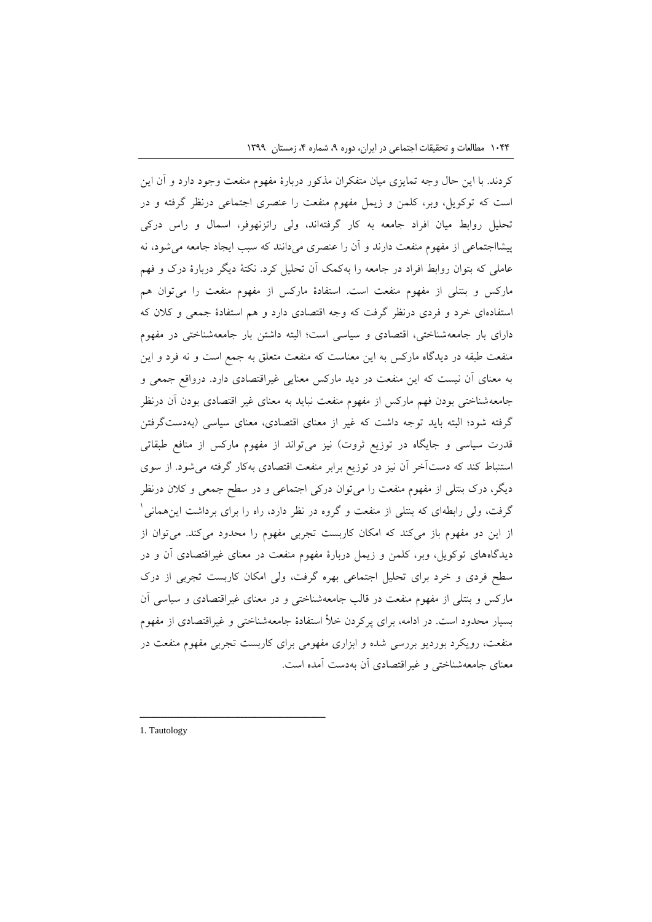کردند. با این حال وجه تمایزی میان متفکران مذکور دربارة مفهوم منفعت وجود دارد و آن این است که توکویل، وبر، کلمن و زیمل مفهوم منفعت را عنصری اجتماعی درنظر گرفته و در تحلیل روابط میان افراد جامعه به کار گرفتهاند، ولی راتزنهوفر، اسمال و راس درکی پیشااجتماعی از مفهوم منفعت دارند و آن را عنصری میدانند که سبب ایجاد جامعه میشود، نه عاملی که بتوان روابط افراد در جامعه را بهکمک آن تحلیل کرد. نکتة دیگر دربارة درک و فهم مارکس و بنتلی از مفهوم منفعت است. استفادة مارکس از مفهوم منفعت را میتوان هم استفادهای خرد و فردی درنظر گرفت که وجه اقتصادی دارد و هم استفادة جمعی و کالن که دارای بار جامعهشناختی، اقتصادی و سیاسی است؛ البته داشتن بار جامعهشناختی در مفهوم منفعت طبقه در دیدگاه مارکس به این معناست که منفعت متعلق به جمع است و نه فرد و این به معنای آن نیست که این منفعت در دید مارکس معنایی غیراقتصادی دارد. درواقع جمعی و جامعهشناختی بودن فهم مارکس از مفهوم منفعت نباید به معنای غیر اقتصادی بودن آن درنظر گرفته شود؛ البته باید توجه داشت که غیر از معنای اقتصادی، معنای سیاسی )بهدستگرفتن قدرت سیاسی و جایگاه در توزیع ثروت) نیز میتواند از مفهوم مارکس از منافع طبقاتی استنباط کند که دستآخر آن نیز در توزیع برابر منفعت اقتصادی بهکار گرفته میشود. از سوی دیگر، درک بنتلی از مفهوم منفعت را میتوان درکی اجتماعی و در سطح جمعی و کالن درنظر 1 گرفت، ولی رابطهای که بنتلی از منفعت و گروه در نظر دارد، راه را برای برداشت اینهمانی از این دو مفهوم باز میکند که امکان کاربست تجربی مفهوم را محدود میکند. میتوان از دیدگاههای توکویل، وبر، کلمن و زیمل دربارة مفهوم منفعت در معنای غیراقتصادی آن و در سطح فردی و خرد برای تحلیل اجتماعی بهره گرفت، ولی امکان کاربست تجربی از درک مارکس و بنتلی از مفهوم منفعت در قالب جامعهشناختی و در معنای غیراقتصادی و سیاسی آن بسیار محدود است. در ادامه، برای پرکردن خأل استفادة جامعهشناختی و غیراقتصادی از مفهوم منفعت، رویکرد بوردیو بررسی شده و ابزاری مفهومی برای کاربست تجربی مفهوم منفعت در معنای جامعهشناختی و غیراقتصادی آن بهدست آمده است.

1. Tautology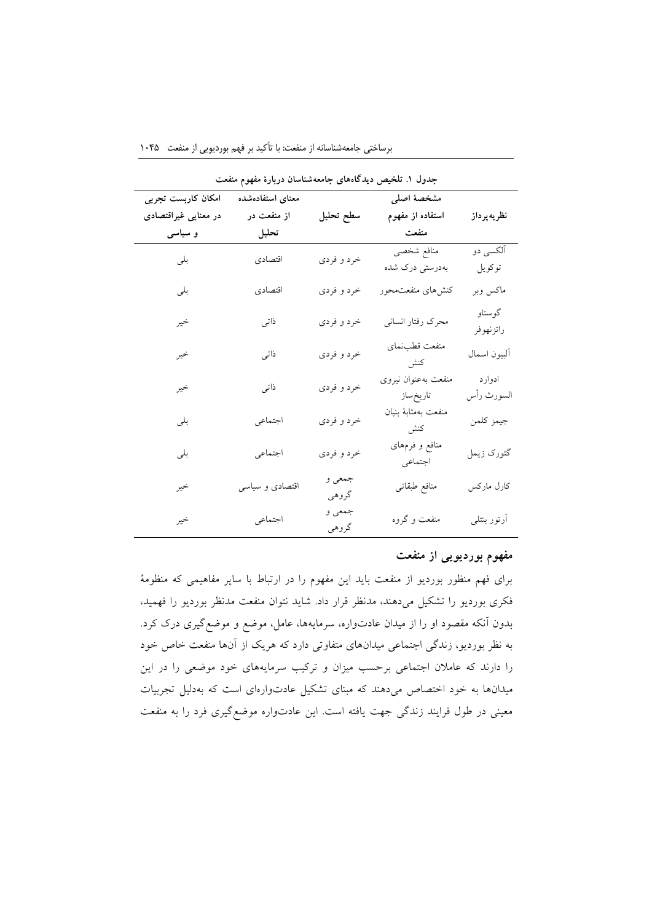| جدول ۱. تلخیص دیدگاههای جامعهشناسان دربارهٔ مفهوم منفعت |                  |                 |                            |              |
|---------------------------------------------------------|------------------|-----------------|----------------------------|--------------|
| امکان کاربست تجربی                                      | معناى استفادهشده |                 | مشخصهٔ اصلی                |              |
| در معنایی غیراقتصادی                                    | از منفعت در      | سطح تحليل       | استفاده از مفهوم           | نظريه پرداز  |
| و سیاسی                                                 | تحليل            |                 | منفعت                      |              |
| بلی                                                     | اقتصادي          | خرد و فردي      | منافع شخصي                 | آلکسی دو     |
|                                                         |                  |                 | بەدرستى درک شدە            | توكويل       |
| بلى                                                     | اقتصادي          | خرد و فردي      | كنشرهاى منفعتمحور          | ماكس وبر     |
| خير                                                     | ذاتى             | خرد و فردي      | محرک رفتار انسانی          | گوستاو       |
|                                                         |                  |                 |                            | راتزنهوفر    |
| خير                                                     | ذاتى             | خرد و فردي      | منفعت قطبنماي              | ألبيون اسمال |
|                                                         |                  |                 | كنش                        |              |
| خير                                                     | ذاتى             | خرد و فردي      | منفعت بهعنوان نيروى        | ادوارد       |
|                                                         |                  |                 | تاريخساز                   | السورث رأس   |
| بلى                                                     | اجتماعي          | خرد و فردي      | منفعت بهمثابه بنيان<br>كنش | جيمز كلمن    |
| بلى                                                     | اجتماعي          | خرد و فردي      | منافع و فرمهای             | گئورک زيمل   |
|                                                         |                  |                 | اجتماعي                    |              |
| خير                                                     | اقتصادی و سیاسی  | جمعي و<br>گروهي | منافع طبقاتي               | كارل ماركس   |
| خير                                                     | اجتماعي          | جمعي و          | منفعت و گروه               | أرتور بنتلى  |
|                                                         |                  | گروهي           |                            |              |

برساختی جامعهشناسانه از منفعت: با تأکید بر فهم بوردیویی از منفعت 9747

# **مفهوم بوردیویی از منفعت**

برای فهم منظور بوردیو از منفعت باید این مفهوم را در ارتباط با سایر مفاهیمی که منظومة فکری بوردیو را تشکیل میدهند، مدنظر قرار داد. شاید نتوان منفعت مدنظر بوردیو را فهمید، بدون آنکه مقصود او را از میدان عادتواره، سرمایهها، عامل، موضع و موضعگیری درک کرد. به نظر بوردیو، زندگی اجتماعی میدانهای متفاوتی دارد که هریک از آنها منفعت خاص خود را دارند که عامالن اجتماعی برحسب میزان و ترکیب سرمایههای خود موضعی را در این میدانها به خود اختصاص میدهند که مبنای تشکیل عادتوارهای است که بهدلیل تجربیات معینی در طول فرایند زندگی جهت یافته است. این عادتواره موضعگیری فرد را به منفعت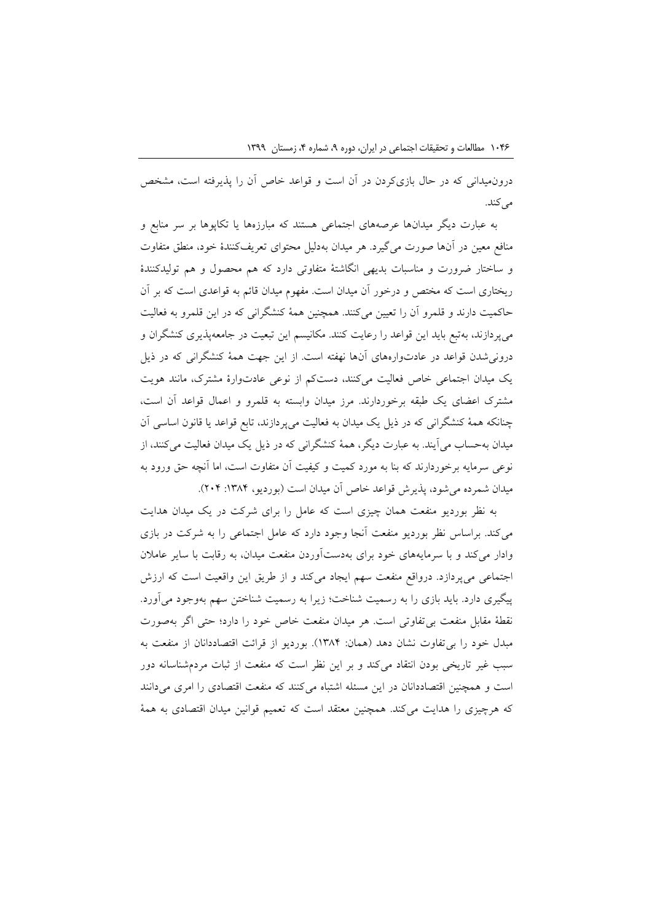درونمیدانی که در حال بازیکردن در آن است و قواعد خاص آن را پذیرفته است، مشخص می کند.

به عبارت دیگر میدانها عرصههای اجتماعی هستند که مبارزهها یا تکاپوها بر سر منابع و منافع معین در آنها صورت میگیرد. هر میدان بهدلیل محتوای تعریفکنندة خود، منطق متفاوت و ساختار ضرورت و مناسبات بدیهی انگاشتة متفاوتی دارد که هم محصول و هم تولیدکنندة ریختاری است که مختص و درخور آن میدان است. مفهوم میدان قائم به قواعدی است که بر آن حاکمیت دارند و قلمرو آن را تعیین میکنند. همچنین همة کنشگرانی که در این قلمرو به فعالیت میپردازند، بهتبع باید این قواعد را رعایت کنند. مکانیسم این تبعیت در جامعهپذیری کنشگران و درونیشدن قواعد در عادتوارههای آنها نهفته است. از این جهت همة کنشگرانی که در ذیل یک میدان اجتماعی خاص فعالیت میکنند، دستکم از نوعی عادتوارة مشترک، مانند هویت مشترک اعضای یک طبقه برخوردارند. مرز میدان وابسته به قلمرو و اعمال قواعد آن است، چنانکه همة کنشگرانی که در ذیل یک میدان به فعالیت میپردازند، تابع قواعد یا قانون اساسی آن میدان بهحساب میآیند. به عبارت دیگر، همة کنشگرانی که در ذیل یک میدان فعالیت میکنند، از نوعی سرمایه برخوردارند که بنا به مورد کمیت و کیفیت آن متفاوت است، اما آنچه حق ورود به میدان شمرده می شود، پذیرش قواعد خاص آن میدان است (بوردیو، ۱۳۸۴: ۲۰۴).

به نظر بوردیو منفعت همان چیزی است که عامل را برای شرکت در یک میدان هدایت میکند. براساس نظر بوردیو منفعت آنجا وجود دارد که عامل اجتماعی را به شرکت در بازی وادار میکند و با سرمایههای خود برای بهدستآوردن منفعت میدان، به رقابت با سایر عامالن اجتماعی میپردازد. درواقع منفعت سهم ایجاد میکند و از طریق این واقعیت است که ارزش پیگیری دارد. باید بازی را به رسمیت شناخت؛ زیرا به رسمیت شناختن سهم بهوجود میآورد. نقطة مقابل منفعت بیتفاوتی است. هر میدان منفعت خاص خود را دارد؛ حتی اگر بهصورت مبدل خود را بی تفاوت نشان دهد (همان: ۱۳۸۴). بوردیو از قرائت اقتصاددانان از منفعت به سبب غیر تاریخی بودن انتقاد میکند و بر این نظر است که منفعت از ثبات مردمشناسانه دور است و همچنین اقتصاددانان در این مسئله اشتباه میکنند که منفعت اقتصادی را امری میدانند که هرچیزی را هدایت میکند. همچنین معتقد است که تعمیم قوانین میدان اقتصادی به همة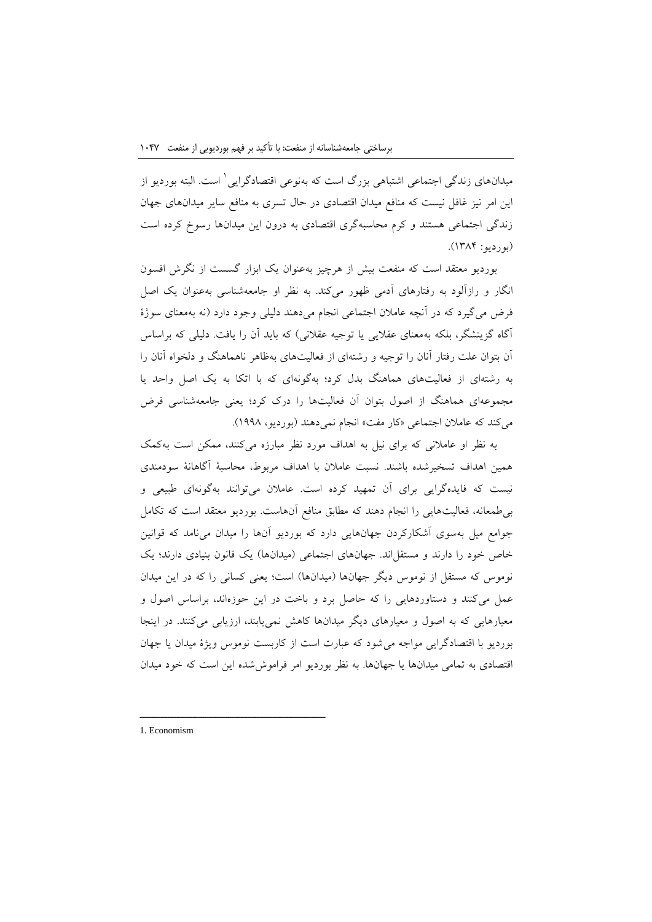1 میدانهای زندگی اجتماعی اشتباهی بزرگ است که بهنوعی اقتصادگرایی است. البته بوردیو از این امر نیز غافل نیست که منافع میدان اقتصادی در حال تسری به منافع سایر میدانهای جهان زندگی اجتماعی هستند و کرم محاسبهگری اقتصادی به درون این میدانها رسوخ کرده است  $(14.1)$ بوردیو: ۱۳۸۴).

بوردیو معتقد است که منفعت بیش از هرچیز بهعنوان یک ابزار گسست از نگرش افسون انگار و رازآلود به رفتارهای آدمی ظهور میکند. به نظر او جامعهشناسی بهعنوان یک اصل فرض میگیرد که در آنچه عامالن اجتماعی انجام میدهند دلیلی وجود دارد )نه بهمعنای سوژة آگاه گزینشگر، بلکه بهمعنای عقالیی یا توجیه عقالنی( که باید آن را یافت. دلیلی که براساس آن بتوان علت رفتار آنان را توجیه و رشتهای از فعالیتهای بهظاهر ناهماهنگ و دلخواه آنان را به رشتهای از فعالیتهای هماهنگ بدل کرد؛ بهگونهای که با اتکا به یک اصل واحد یا مجموعهای هماهنگ از اصول بتوان آن فعالیتها را درک کرد؛ یعنی جامعهشناسی فرض میکند که عاملان اجتماعی «کار مفت» انجام نمی دهند (بوردیو، ۱۹۹۸).

به نظر او عامالنی که برای نیل به اهداف مورد نظر مبارزه میکنند، ممکن است بهکمک همین اهداف تسخیرشده باشند. نسبت عامالن با اهداف مربوط، محاسبة آگاهانة سودمندی نیست که فایدهگرایی برای آن تمهید کرده است. عامالن میتوانند بهگونهای طبیعی و بیطمعانه، فعالیتهایی را انجام دهند که مطابق منافع آنهاست. بوردیو معتقد است که تکامل جوامع میل بهسوی آشکارکردن جهانهایی دارد که بوردیو آنها را میدان مینامد که قوانین خاص خود را دارند و مستقل اند. جهانهای اجتماعی (میدانها) یک قانون بنیادی دارند؛ یک نوموس که مستقل از نوموس دیگر جهانها (میدانها) است؛ یعنی کسانی را که در این میدان عمل میکنند و دستاوردهایی را که حاصل برد و باخت در این حوزهاند، براساس اصول و معیارهایی که به اصول و معیارهای دیگر میدانها کاهش نمییابند، ارزیابی میکنند. در اینجا بوردیو با اقتصادگرایی مواجه میشود که عبارت است از کاربست نوموس ویژة میدان یا جهان اقتصادی به تمامی میدانها یا جهانها. به نظر بوردیو امر فراموششده این است که خود میدان

1. Economism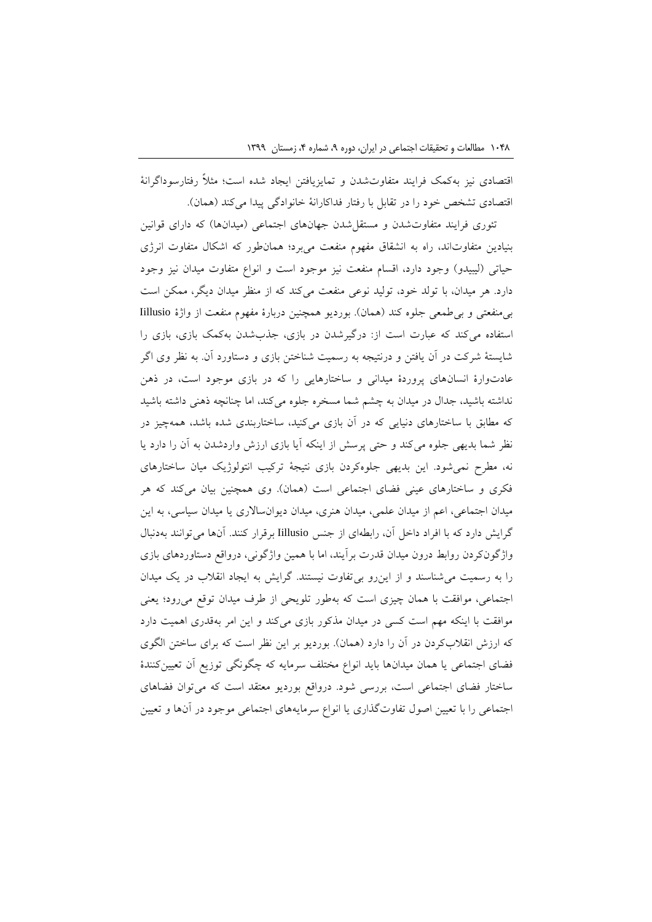اقتصادی نیز بهکمک فرایند متفاوتشدن و تمایزیافتن ایجاد شده است؛ مثالً رفتارسوداگرانة اقتصادی تشخص خود را در تقابل با رفتار فداکارانهٔ خانوادگی پیدا میکند (همان).

تئوری فرایند متفاوتشدن و مستقل شدن جهانهای اجتماعی (میدانها) که دارای قوانین بنیادین متفاوتاند، راه به انشقاق مفهوم منفعت میبرد؛ همانطور که اشکال متفاوت انرژی حیاتی (لیبیدو) وجود دارد، اقسام منفعت نیز موجود است و انواع متفاوت میدان نیز وجود دارد. هر میدان، با تولد خود، تولید نوعی منفعت میکند که از منظر میدان دیگر، ممکن است بی منفعتی و بی طمعی جلوه کند (همان). بوردیو همچنین دربارهٔ مفهوم منفعت از واژهٔ Iillusio استفاده میکند که عبارت است از: درگیرشدن در بازی، جذبشدن بهکمک بازی، بازی را شایستة شرکت در آن یافتن و درنتیجه به رسمیت شناختن بازی و دستاورد آن. به نظر وی اگر عادتوارة انسانهای پروردة میدانی و ساختارهایی را که در بازی موجود است، در ذهن نداشته باشید، جدال در میدان به چشم شما مسخره جلوه میکند، اما چنانچه ذهنی داشته باشید که مطابق با ساختارهای دنیایی که در آن بازی میکنید، ساختاربندی شده باشد، همهچیز در نظر شما بدیهی جلوه میکند و حتی پرسش از اینکه آیا بازی ارزش واردشدن به آن را دارد یا نه، مطرح نمیشود. این بدیهی جلوهکردن بازی نتیجة ترکیب انتولوژیک میان ساختارهای فکری و ساختارهای عینی فضای اجتماعی است )همان(. وی همچنین بیان میکند که هر میدان اجتماعی، اعم از میدان علمی، میدان هنری، میدان دیوانساالری یا میدان سیاسی، به این گرایش دارد که با افراد داخل آن، رابطهای از جنس Iillusio برقرار کنند. آنها میتوانند بهدنبال واژگونکردن روابط درون میدان قدرت برآیند، اما با همین واژگونی، درواقع دستاوردهای بازی را به رسمیت میشناسند و از اینرو بیتفاوت نیستند. گرایش به ایجاد انقالب در یک میدان اجتماعی، موافقت با همان چیزی است که بهطور تلویحی از طرف میدان توقع میرود؛ یعنی موافقت با اینکه مهم است کسی در میدان مذکور بازی میکند و این امر بهقدری اهمیت دارد که ارزش انقلابکردن در آن را دارد (همان). بوردیو بر این نظر است که برای ساختن الگوی فضای اجتماعی یا همان میدانها باید انواع مختلف سرمایه که چگونگی توزیع آن تعیینکنندة ساختار فضای اجتماعی است، بررسی شود. درواقع بوردیو معتقد است که میتوان فضاهای اجتماعی را با تعیین اصول تفاوتگذاری یا انواع سرمایههای اجتماعی موجود در آنها و تعیین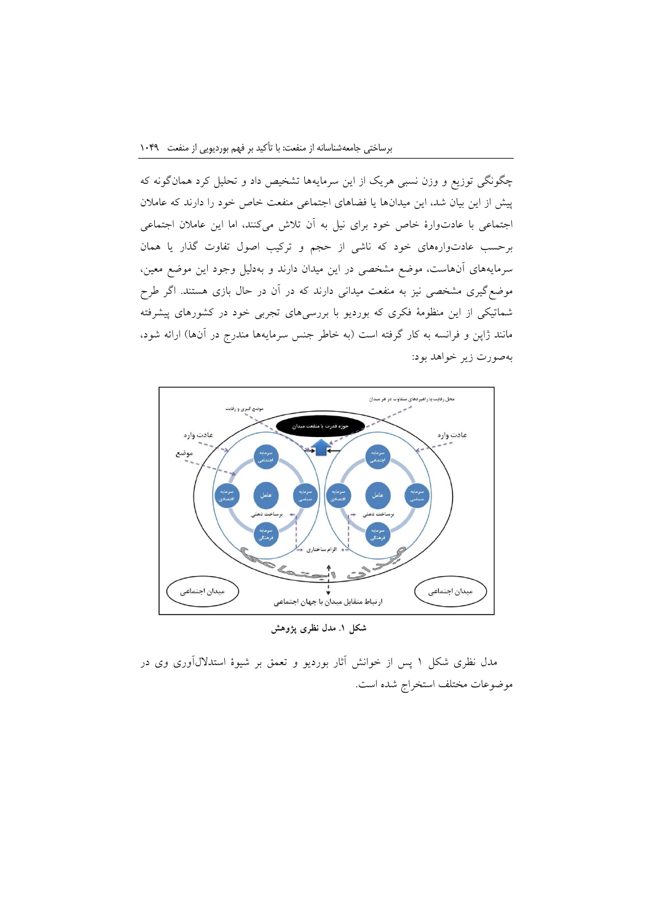چگونگی توزیع و وزن نسبی هریک از این سرمایهها تشخیص داد و تحلیل کرد همانگونه که پیش از این بیان شد، این میدانها یا فضاهای اجتماعی منفعت خاص خود را دارند که عامالن اجتماعی با عادتوارة خاص خود برای نیل به آن تالش میکنند، اما این عامالن اجتماعی برحسب عادتوارههای خود که ناشی از حجم و ترکیب اصول تفاوت گذار یا همان سرمایههای آنهاست، موضع مشخصی در این میدان دارند و بهدلیل وجود این موضع معین، موضعگیری مشخصی نیز به منفعت میدانی دارند که در آن در حال بازی هستند. اگر طرح شماتیکی از این منظومة فکری که بوردیو با بررسیهای تجربی خود در کشورهای پیشرفته مانند ژاپن و فرانسه به کار گرفته است (به خاطر جنس سرمایهها مندرج در آنها) ارائه شود، بهصورت زیر خواهد بود:



**شکل .1 مدل نظری پژوهش**

مدل نظری شکل 1 پس از خوانش آثار بوردیو و تعمق بر شیوة استداللآوری وی در موضوعات مختلف استخراج شده است.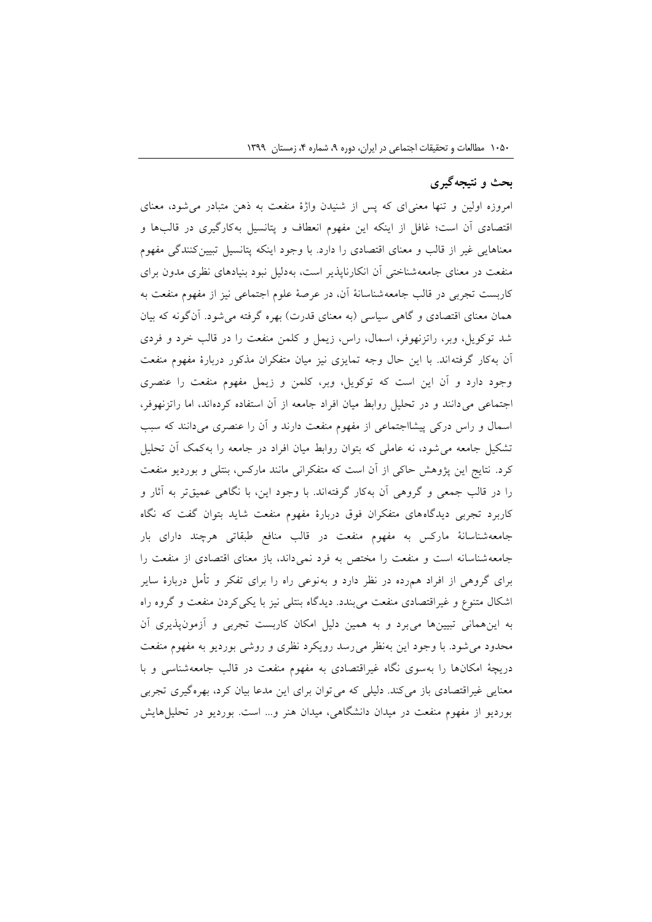## **بحث و نتیجهگیری**

امروزه اولین و تنها معنیای که پس از شنیدن واژة منفعت به ذهن متبادر میشود، معنای اقتصادی آن است؛ غافل از اینکه این مفهوم انعطاف و پتانسیل بهکارگیری در قالبها و معناهایی غیر از قالب و معنای اقتصادی را دارد. با وجود اینکه پتانسیل تبیینکنندگی مفهوم منفعت در معنای جامعهشناختی آن انکارناپذیر است، بهدلیل نبود بنیادهای نظری مدون برای کاربست تجربی در قالب جامعهشناسانة آن، در عرصة علوم اجتماعی نیز از مفهوم منفعت به همان معنای اقتصادی و گاهی سیاسی (به معنای قدرت) بهره گرفته می شود. آنگونه که بیان شد توکویل، وبر، راتزنهوفر، اسمال، راس، زیمل و کلمن منفعت را در قالب خرد و فردی آن بهکار گرفتهاند. با این حال وجه تمایزی نیز میان متفکران مذکور دربارة مفهوم منفعت وجود دارد و آن این است که توکویل، وبر، کلمن و زیمل مفهوم منفعت را عنصری اجتماعی میدانند و در تحلیل روابط میان افراد جامعه از آن استفاده کردهاند، اما راتزنهوفر، اسمال و راس درکی پیشااجتماعی از مفهوم منفعت دارند و آن را عنصری میدانند که سبب تشکیل جامعه میشود، نه عاملی که بتوان روابط میان افراد در جامعه را بهکمک آن تحلیل کرد. نتایج این پژوهش حاکی از آن است که متفکرانی مانند مارکس، بنتلی و بوردیو منفعت را در قالب جمعی و گروهی آن بهکار گرفتهاند. با وجود این، با نگاهی عمیقتر به آثار و کاربرد تجربی دیدگاههای متفکران فوق دربارة مفهوم منفعت شاید بتوان گفت که نگاه جامعهشناسانة مارکس به مفهوم منفعت در قالب منافع طبقاتی هرچند دارای بار جامعهشناسانه است و منفعت را مختص به فرد نمیداند، باز معنای اقتصادی از منفعت را برای گروهی از افراد همرده در نظر دارد و بهنوعی راه را برای تفکر و تأمل دربارة سایر اشکال متنوع و غیراقتصادی منفعت میبندد. دیدگاه بنتلی نیز با یکیکردن منفعت و گروه راه به اینهمانی تبیینها میبرد و به همین دلیل امکان کاربست تجربی و آزمونپذیری آن محدود میشود. با وجود این بهنظر میرسد رویکرد نظری و روشی بوردیو به مفهوم منفعت دریچة امکانها را بهسوی نگاه غیراقتصادی به مفهوم منفعت در قالب جامعهشناسی و با معنایی غیراقتصادی باز میکند. دلیلی که میتوان برای این مدعا بیان کرد، بهرهگیری تجربی بوردیو از مفهوم منفعت در میدان دانشگاهی، میدان هنر و... است. بوردیو در تحلیلهایش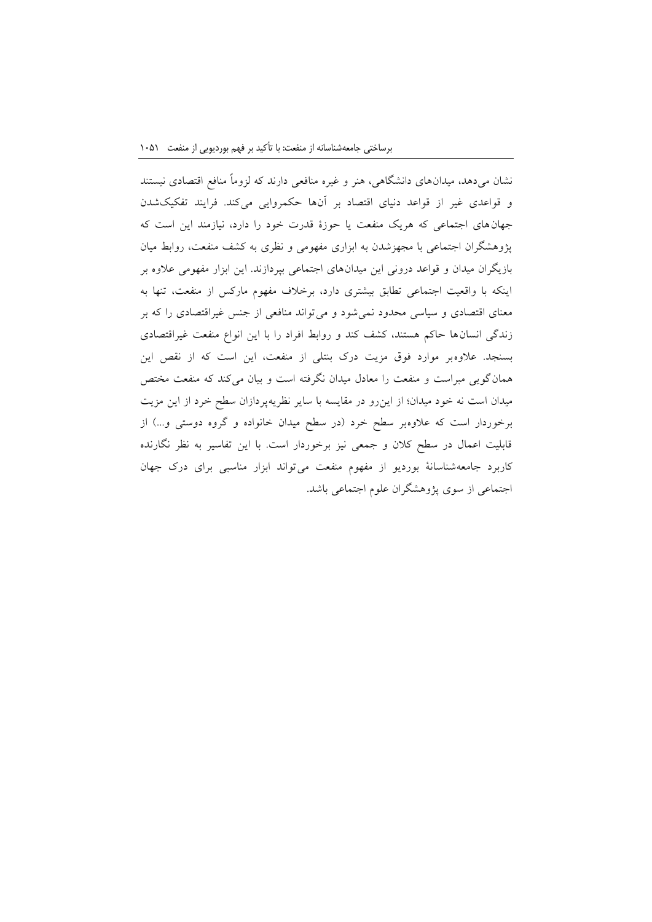نشان میدهد، میدانهای دانشگاهی، هنر و غیره منافعی دارند که لزوماً منافع اقتصادی نیستند و قواعدی غیر از قواعد دنیای اقتصاد بر آنها حکمروایی میکند. فرایند تفکیکشدن جهانهای اجتماعی که هریک منفعت یا حوزة قدرت خود را دارد، نیازمند این است که پژوهشگران اجتماعی با مجهزشدن به ابزاری مفهومی و نظری به کشف منفعت، روابط میان بازیگران میدان و قواعد درونی این میدانهای اجتماعی بپردازند. این ابزار مفهومی عالوه بر اینکه با واقعیت اجتماعی تطابق بیشتری دارد، برخالف مفهوم مارکس از منفعت، تنها به معنای اقتصادی و سیاسی محدود نمیشود و میتواند منافعی از جنس غیراقتصادی را که بر زندگی انسانها حاکم هستند، کشف کند و روابط افراد را با این انواع منفعت غیراقتصادی بسنجد. عالوهبر موارد فوق مزیت درک بنتلی از منفعت، این است که از نقص این همانگویی مبراست و منفعت را معادل میدان نگرفته است و بیان میکند که منفعت مختص میدان است نه خود میدان؛ از اینرو در مقایسه با سایر نظریهپردازان سطح خرد از این مزیت برخوردار است که علاوهبر سطح خرد (در سطح میدان خانواده و گروه دوستی و...) از قابلیت اعمال در سطح کالن و جمعی نیز برخوردار است. با این تفاسیر به نظر نگارنده کاربرد جامعهشناسانة بوردیو از مفهوم منفعت میتواند ابزار مناسبی برای درک جهان اجتماعی از سوی پژوهشگران علوم اجتماعی باشد.